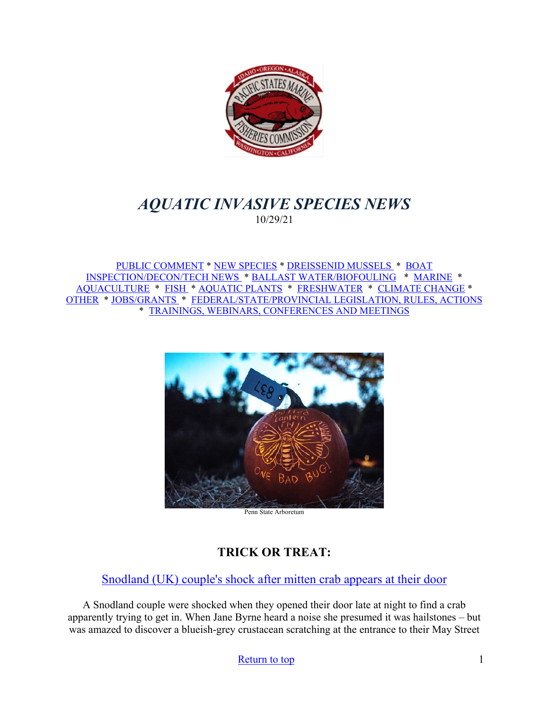<span id="page-0-0"></span>

# *AQUATIC INVASIVE SPECIES NEWS* 10/29/21

[PUBLIC COMMENT](#page-1-0) \* [NEW SPECIES](#page-1-1) \* [DREISSENID MUSSELS](#page-3-0) \* [BOAT](#page-4-0)  [INSPECTION/DECON/TECH NEWS](#page-4-0) \* [BALLAST WATER/BIOFOULING](#page-4-1) \* [MARINE](#page-5-0) \* [AQUACULTURE](#page-6-0) \* [FISH](#page-7-0) \* [AQUATIC PLANTS](#page-7-1) \* [FRESHWATER](#page-8-0) \* [CLIMATE CHANGE](#page-9-0) \* [OTHER](#page-9-1) \* [JOBS/GRANTS](#page-10-0) \* [FEDERAL/STATE/PROVINCIAL LEGISLATION, RULES, ACTIONS](#page-15-0) \* [TRAININGS, WEBINARS, CONFERENCES AND MEETINGS](#page-23-0) 



Penn State Arboretum

# **TRICK OR TREAT:**

[Snodland \(UK\) couple's shock after mitten crab appears at their door](https://www.kentonline.co.uk/malling/news/couple-shocked-by-crab-knocking-at-their-door-255982/)

A Snodland couple were shocked when they opened their door late at night to find a crab apparently trying to get in. When Jane Byrne heard a noise she presumed it was hailstones – but was amazed to discover a blueish-grey crustacean scratching at the entrance to their May Street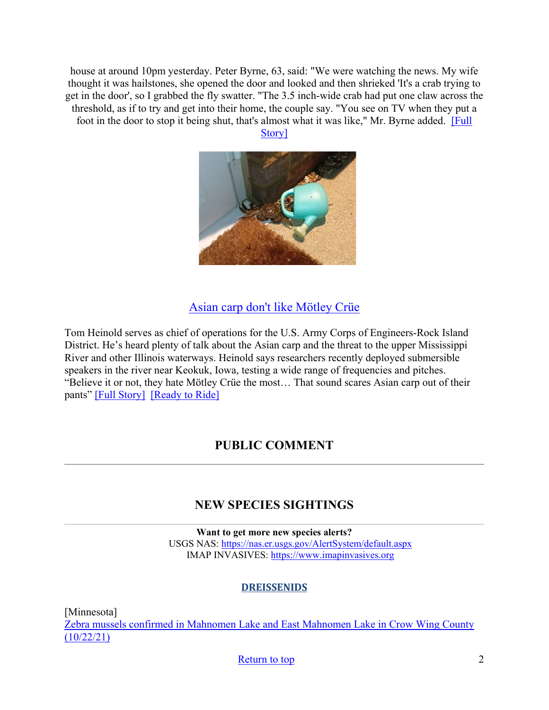house at around 10pm yesterday. Peter Byrne, 63, said: "We were watching the news. My wife thought it was hailstones, she opened the door and looked and then shrieked 'It's a crab trying to get in the door', so I grabbed the fly swatter. "The 3.5 inch-wide crab had put one claw across the threshold, as if to try and get into their home, the couple say. "You see on TV when they put a foot in the door to stop it being shut, that's almost what it was like," Mr. Byrne added. [Full

[Story\]](https://www.kentonline.co.uk/malling/news/couple-shocked-by-crab-knocking-at-their-door-255982/)



## [Asian carp don't like Mötley Crüe](https://www.advantagenews.com/news/local/granite-city-news/asian-carp-dont-like-motley-crue/article_3ea601bc-3111-11ec-b178-c71129388327.html)

<span id="page-1-0"></span>Tom Heinold serves as chief of operations for the U.S. Army Corps of Engineers-Rock Island District. He's heard plenty of talk about the Asian carp and the threat to the upper Mississippi River and other Illinois waterways. Heinold says researchers recently deployed submersible speakers in the river near Keokuk, Iowa, testing a wide range of frequencies and pitches. "Believe it or not, they hate Mötley Crüe the most… That sound scares Asian carp out of their pants" [\[Full Story\]](https://www.advantagenews.com/news/local/granite-city-news/asian-carp-dont-like-motley-crue/article_3ea601bc-3111-11ec-b178-c71129388327.html) [\[Ready to Ride\]](https://youtu.be/ybcxIpb-R_0)

## **PUBLIC COMMENT**

## **NEW SPECIES SIGHTINGS**

<span id="page-1-1"></span>**Want to get more new species alerts?** USGS NAS:<https://nas.er.usgs.gov/AlertSystem/default.aspx> IMAP INVASIVES: [https://www.imapinvasives.org](https://www.imapinvasives.org/)

## **DREISSENIDS**

[Minnesota] [Zebra mussels confirmed in Mahnomen Lake and East Mahnomen Lake in Crow Wing County](https://www.dnr.state.mn.us/news/2021/10/22/zebra-mussels-confirmed-mahnomen-lake-and-east-mahnomen-lake-crow-wing-county)   $(10/22/21)$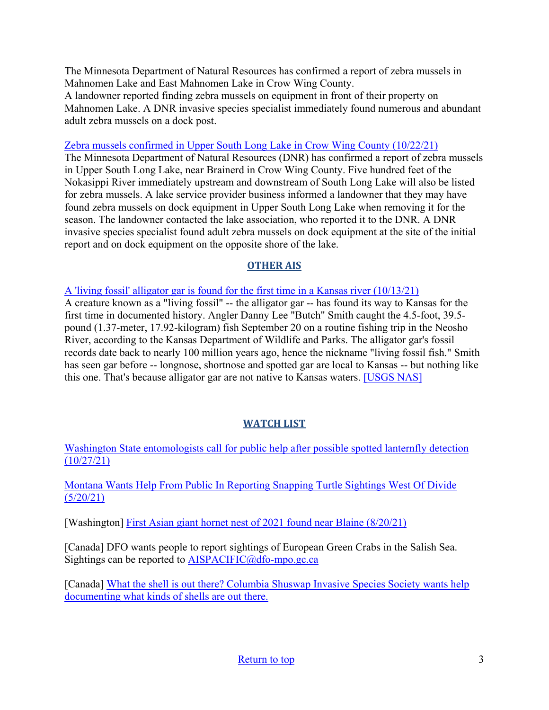The Minnesota Department of Natural Resources has confirmed a report of zebra mussels in Mahnomen Lake and East Mahnomen Lake in Crow Wing County.

A landowner reported finding zebra mussels on equipment in front of their property on Mahnomen Lake. A DNR invasive species specialist immediately found numerous and abundant adult zebra mussels on a dock post.

[Zebra mussels confirmed in Upper South Long Lake in Crow Wing County \(10/22/21\)](https://www.dnr.state.mn.us/news/2021/10/22/zebra-mussels-confirmed-upper-south-long-lake-crow-wing-county)

The Minnesota Department of Natural Resources (DNR) has confirmed a report of zebra mussels in Upper South Long Lake, near Brainerd in Crow Wing County. Five hundred feet of the Nokasippi River immediately upstream and downstream of South Long Lake will also be listed for zebra mussels. A lake service provider business informed a landowner that they may have found zebra mussels on dock equipment in Upper South Long Lake when removing it for the season. The landowner contacted the lake association, who reported it to the DNR. A DNR invasive species specialist found adult zebra mussels on dock equipment at the site of the initial report and on dock equipment on the opposite shore of the lake.

## **OTHER AIS**

[A 'living fossil' alligator gar is found for the first time in a Kansas river \(10/13/21\)](https://www.cnn.com/2021/10/13/us/alligator-gar-living-fossil-kansas-scn/index.html)

A creature known as a "living fossil" -- the alligator gar -- has found its way to Kansas for the first time in documented history. Angler Danny Lee "Butch" Smith caught the 4.5-foot, 39.5 pound (1.37-meter, 17.92-kilogram) fish September 20 on a routine fishing trip in the Neosho River, according to the Kansas Department of Wildlife and Parks. The alligator gar's fossil records date back to nearly 100 million years ago, hence the nickname "living fossil fish." Smith has seen gar before -- longnose, shortnose and spotted gar are local to Kansas -- but nothing like this one. That's because alligator gar are not native to Kansas waters. [\[USGS NAS\]](https://nas.er.usgs.gov/queries/specimenviewer.aspx?SpecimenID=1670426)

## **WATCH LIST**

Washington State entomologists call for public help after possible spotted lanternfly detection [\(10/27/21\)](https://wastatedeptag.blogspot.com/2021/10/state-entomologists-call-for-public.html)

[Montana Wants Help From Public In Reporting Snapping Turtle Sightings West Of Divide](https://www.cbbulletin.com/montana-wants-help-from-public-in-reporting-snapping-turtle-sightings-west-of-divide/)   $(5/20/21)$ 

[Washington] [First Asian giant hornet nest of 2021 found near Blaine \(8/20/21\)](https://www.newsbreak.com/news/2346988490362/first-asian-giant-hornet-nest-of-2021-found-near-blaine)

[Canada] DFO wants people to report sightings of European Green Crabs in the Salish Sea. Sightings can be reported to [AISPACIFIC@dfo-mpo.gc.ca](mailto:AISPACIFIC@dfo-mpo.gc.ca)

[Canada] [What the shell is out there? Columbia Shuswap Invasive Species Society wants help](https://www.castanet.net/news/Salmon-Arm/344047/Columbia-Shuswap-Invasive-Species-Society-wants-help-documenting-what-kinds-of-shells-are-out-there)  [documenting what kinds of shells are out there.](https://www.castanet.net/news/Salmon-Arm/344047/Columbia-Shuswap-Invasive-Species-Society-wants-help-documenting-what-kinds-of-shells-are-out-there)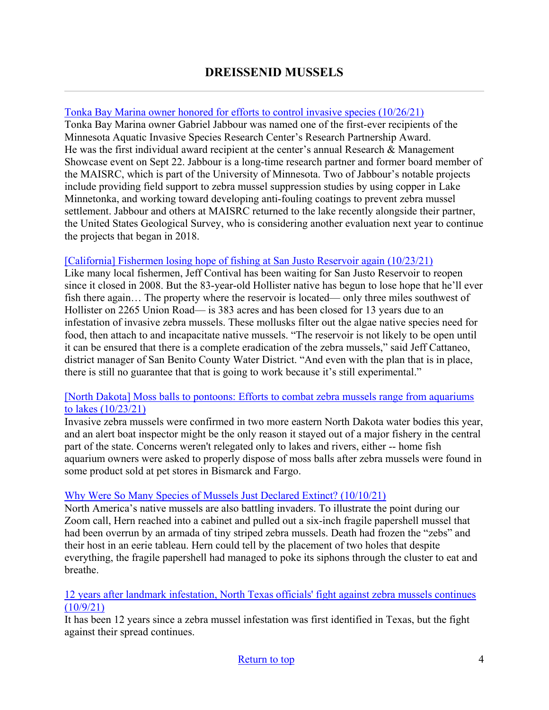### <span id="page-3-0"></span>[Tonka Bay Marina owner honored for efforts to control invasive species \(10/26/21\)](https://www.hometownsource.com/sun_sailor/community/excelsior_southlake/tonka-bay-marina-owner-honored-for-efforts-to-control-invasive-species/article_a0452840-367e-11ec-894c-2f8b81a62ff8.html)

Tonka Bay Marina owner Gabriel Jabbour was named one of the first-ever recipients of the Minnesota Aquatic Invasive Species Research Center's Research Partnership Award. He was the first individual award recipient at the center's annual Research  $\&$  Management Showcase event on Sept 22. Jabbour is a long-time research partner and former board member of the MAISRC, which is part of the University of Minnesota. Two of Jabbour's notable projects include providing field support to zebra mussel suppression studies by using copper in Lake Minnetonka, and working toward developing anti-fouling coatings to prevent zebra mussel settlement. Jabbour and others at MAISRC returned to the lake recently alongside their partner, the United States Geological Survey, who is considering another evaluation next year to continue the projects that began in 2018.

#### [\[California\] Fishermen losing hope of fishing at San Justo Reservoir again \(10/23/21\)](https://benitolink.com/fishermen-losing-hope-of-fishing-at-san-justo-reservoir-again/)

Like many local fishermen, Jeff Contival has been waiting for San Justo Reservoir to reopen since it closed in 2008. But the 83-year-old Hollister native has begun to lose hope that he'll ever fish there again… The property where the reservoir is located— only three miles southwest of Hollister on 2265 Union Road— is 383 acres and has been closed for 13 years due to an infestation of invasive zebra mussels. These mollusks filter out the algae native species need for food, then attach to and incapacitate native mussels. "The reservoir is not likely to be open until it can be ensured that there is a complete eradication of the zebra mussels," said Jeff Cattaneo, district manager of San Benito County Water District. "And even with the plan that is in place, there is still no guarantee that that is going to work because it's still experimental."

#### [\[North Dakota\] Moss balls to pontoons: Efforts to combat zebra mussels range from aquariums](https://bismarcktribune.com/special-section/moss-balls-to-pontoons-efforts-to-combat-zebra-mussels-range-from-aquariums-to-lakes/article_0a0242f1-b4f2-54d2-82ab-2b84f1663b40.html)  [to lakes \(10/23/21\)](https://bismarcktribune.com/special-section/moss-balls-to-pontoons-efforts-to-combat-zebra-mussels-range-from-aquariums-to-lakes/article_0a0242f1-b4f2-54d2-82ab-2b84f1663b40.html)

Invasive zebra mussels were confirmed in two more eastern North Dakota water bodies this year, and an alert boat inspector might be the only reason it stayed out of a major fishery in the central part of the state. Concerns weren't relegated only to lakes and rivers, either -- home fish aquarium owners were asked to properly dispose of moss balls after zebra mussels were found in some product sold at pet stores in Bismarck and Fargo.

#### [Why Were So Many Species of Mussels Just Declared Extinct? \(10/10/21\)](https://www.sierraclub.org/sierra/why-were-so-many-species-mussels-just-declared-extinct)

North America's native mussels are also battling invaders. To illustrate the point during our Zoom call, Hern reached into a cabinet and pulled out a six-inch fragile papershell mussel that had been overrun by an armada of tiny striped zebra mussels. Death had frozen the "zebs" and their host in an eerie tableau. Hern could tell by the placement of two holes that despite everything, the fragile papershell had managed to poke its siphons through the cluster to eat and breathe.

#### [12 years after landmark infestation, North Texas officials' fight against zebra mussels continues](https://starlocalmedia.com/allenamerican/12-years-after-landmark-infestation-north-texas-officials-fight-against-zebra-mussels-continues/article_1d5257b8-2897-11ec-95d0-23cc926858c7.html)  [\(10/9/21\)](https://starlocalmedia.com/allenamerican/12-years-after-landmark-infestation-north-texas-officials-fight-against-zebra-mussels-continues/article_1d5257b8-2897-11ec-95d0-23cc926858c7.html)

It has been 12 years since a zebra mussel infestation was first identified in Texas, but the fight against their spread continues.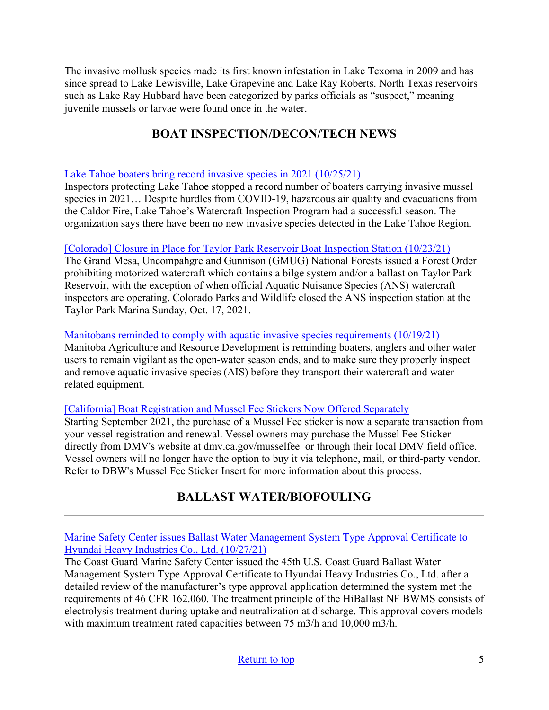The invasive mollusk species made its first known infestation in Lake Texoma in 2009 and has since spread to Lake Lewisville, Lake Grapevine and Lake Ray Roberts. North Texas reservoirs such as Lake Ray Hubbard have been categorized by parks officials as "suspect," meaning juvenile mussels or larvae were found once in the water.

## **BOAT INSPECTION/DECON/TECH NEWS**

<span id="page-4-0"></span>[Lake Tahoe boaters bring record invasive species in 2021 \(10/25/21\)](https://mynews4.com/news/local/lake-tahoe-boaters-bring-record-invasive-species-in-2021)

Inspectors protecting Lake Tahoe stopped a record number of boaters carrying invasive mussel species in 2021… Despite hurdles from COVID-19, hazardous air quality and evacuations from the Caldor Fire, Lake Tahoe's Watercraft Inspection Program had a successful season. The organization says there have been no new invasive species detected in the Lake Tahoe Region.

### [\[Colorado\] Closure in Place for Taylor Park Reservoir Boat Inspection Station \(10/23/21\)](https://www.highcountryshopper.com/community/north_fork/closure-in-place-for-taylor-park-reservoir-boat-inspection-station/article_54c49aee-3382-11ec-8b40-3b8a087c18f4.html)

The Grand Mesa, Uncompahgre and Gunnison (GMUG) National Forests issued a Forest Order prohibiting motorized watercraft which contains a bilge system and/or a ballast on Taylor Park Reservoir, with the exception of when official Aquatic Nuisance Species (ANS) watercraft inspectors are operating. Colorado Parks and Wildlife closed the ANS inspection station at the Taylor Park Marina Sunday, Oct. 17, 2021.

#### [Manitobans reminded to comply with aquatic invasive species requirements \(10/19/21\)](https://www.mysteinbach.ca/news/9847/manitobans-reminded-to-comply-with-aquatic-invasive-species-requirements/)

Manitoba Agriculture and Resource Development is reminding boaters, anglers and other water users to remain vigilant as the open-water season ends, and to make sure they properly inspect and remove aquatic invasive species (AIS) before they transport their watercraft and waterrelated equipment.

#### [\[California\] Boat Registration and Mussel Fee Stickers Now Offered Separately](https://files.constantcontact.com/16d71d7c401/ca27eecc-661e-4d1a-aac4-e8efe4021880.pdf)

Starting September 2021, the purchase of a Mussel Fee sticker is now a separate transaction from your vessel registration and renewal. Vessel owners may purchase the Mussel Fee Sticker directly from DMV's website at dmv.ca.gov/musselfee or through their local DMV field office. Vessel owners will no longer have the option to buy it via telephone, mail, or third-party vendor. Refer to DBW's Mussel Fee Sticker Insert for more information about this process.

# **BALLAST WATER/BIOFOULING**

<span id="page-4-1"></span>[Marine Safety Center issues Ballast Water Management System Type Approval Certificate to](https://mariners.coastguard.blog/2021/10/27/marine-safety-center-issues-ballast-water-management-system-type-approval-certificate-to-hyundai-heavy-industries-co-ltd-2/?utm_source=feedburner&utm_medium=email&utm_campaign=Feed%3A+MaritimeCommons+%28Maritime+Commons%29)  [Hyundai Heavy Industries Co., Ltd. \(10/27/21\)](https://mariners.coastguard.blog/2021/10/27/marine-safety-center-issues-ballast-water-management-system-type-approval-certificate-to-hyundai-heavy-industries-co-ltd-2/?utm_source=feedburner&utm_medium=email&utm_campaign=Feed%3A+MaritimeCommons+%28Maritime+Commons%29)

The Coast Guard Marine Safety Center issued the 45th U.S. Coast Guard Ballast Water Management System Type Approval Certificate to Hyundai Heavy Industries Co., Ltd. after a detailed review of the manufacturer's type approval application determined the system met the requirements of 46 CFR 162.060. The treatment principle of the HiBallast NF BWMS consists of electrolysis treatment during uptake and neutralization at discharge. This approval covers models with maximum treatment rated capacities between 75 m3/h and 10,000 m3/h.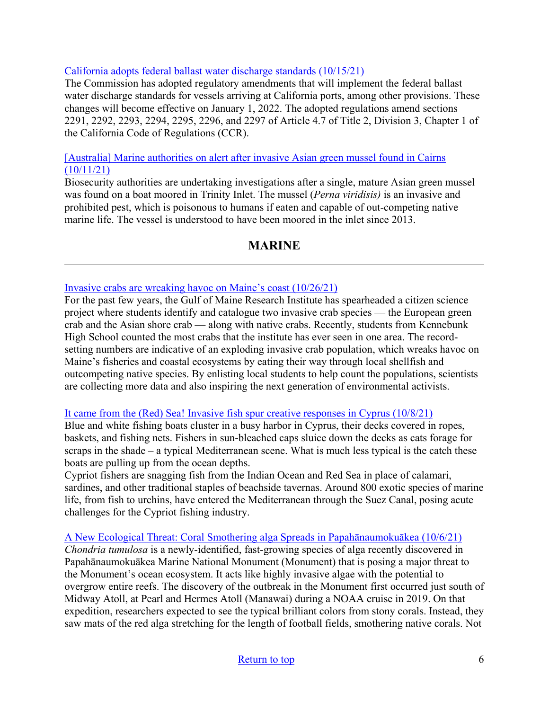#### [California adopts federal ballast water discharge standards \(10/15/21\)](https://www.slc.ca.gov/marine-invasive-species-program/ca-adopts-federal-ballast-water-discharge-standards/)

The Commission has adopted regulatory amendments that will implement the federal ballast water discharge standards for vessels arriving at California ports, among other provisions. These changes will become effective on January 1, 2022. The adopted regulations amend sections 2291, 2292, 2293, 2294, 2295, 2296, and 2297 of Article 4.7 of Title 2, Division 3, Chapter 1 of the California Code of Regulations (CCR).

#### [\[Australia\] Marine authorities on alert after invasive Asian green mussel found in Cairns](https://www.tropicnow.com.au/2021/october/11/marine-authorities-on-alert-after-invasive-asian-green-mussel-found-in-cairns)   $(10/11/21)$

Biosecurity authorities are undertaking investigations after a single, mature Asian green mussel was found on a boat moored in Trinity Inlet. The mussel (*Perna viridisis)* is an invasive and prohibited pest, which is poisonous to humans if eaten and capable of out-competing native marine life. The vessel is understood to have been moored in the inlet since 2013.

## **MARINE**

#### <span id="page-5-0"></span>[Invasive crabs are wreaking havoc on Maine's coast \(10/26/21\)](https://bangordailynews.com/2021/10/26/homestead/invasive-crabs-are-wreaking-havoc-on-maines-coast-joam40zk0w/)

For the past few years, the Gulf of Maine Research Institute has spearheaded a citizen science project where students identify and catalogue two invasive crab species — the European green crab and the Asian shore crab — along with native crabs. Recently, students from Kennebunk High School counted the most crabs that the institute has ever seen in one area. The recordsetting numbers are indicative of an exploding invasive crab population, which wreaks havoc on Maine's fisheries and coastal ecosystems by eating their way through local shellfish and outcompeting native species. By enlisting local students to help count the populations, scientists are collecting more data and also inspiring the next generation of environmental activists.

#### [It came from the \(Red\) Sea! Invasive fish spur creative responses in Cyprus \(10/8/21\)](https://www.csmonitor.com/World/Europe/2021/1008/It-came-from-the-Red-Sea!-Invasive-fish-spur-creative-responses-in-Cyprus?cmpid=ema:mkt:20211014&src=highlight)

Blue and white fishing boats cluster in a busy harbor in Cyprus, their decks covered in ropes, baskets, and fishing nets. Fishers in sun-bleached caps sluice down the decks as cats forage for scraps in the shade – a typical Mediterranean scene. What is much less typical is the catch these boats are pulling up from the ocean depths.

Cypriot fishers are snagging fish from the Indian Ocean and Red Sea in place of calamari, sardines, and other traditional staples of beachside tavernas. Around 800 exotic species of marine life, from fish to urchins, have entered the Mediterranean through the Suez Canal, posing acute challenges for the Cypriot fishing industry.

#### [A New Ecological Threat: Coral Smothering alga Spreads in Papahānaumokuākea \(10/6/21\)](https://medium.com/usfwspacificislands/a-new-ecological-threat-coral-smothering-alga-spreads-in-papah%C4%81naumoku%C4%81kea-e11f93f60279)

*Chondria tumulosa* is a newly-identified, fast-growing species of alga recently discovered in Papahānaumokuākea Marine National Monument (Monument) that is posing a major threat to the Monument's ocean ecosystem. It acts like highly invasive algae with the potential to overgrow entire reefs. The discovery of the outbreak in the Monument first occurred just south of Midway Atoll, at Pearl and Hermes Atoll (Manawai) during a NOAA cruise in 2019. On that expedition, researchers expected to see the typical brilliant colors from stony corals. Instead, they saw mats of the red alga stretching for the length of football fields, smothering native corals. Not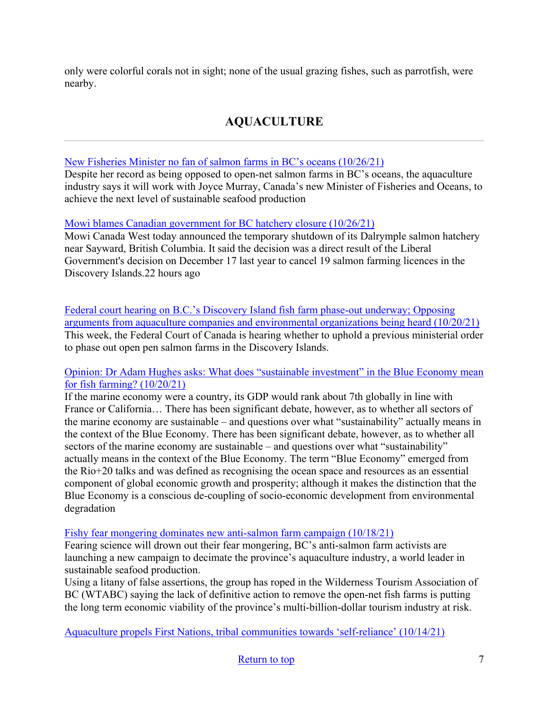only were colorful corals not in sight; none of the usual grazing fishes, such as parrotfish, were nearby.

# **AQUACULTURE**

#### <span id="page-6-0"></span>[New Fisheries Minister no fan of salmon farms in BC's oceans \(10/26/21\)](https://seawestnews.com/new-fisheries-minister-no-fan-of-salmon-farms-in-bcs-oceans/?utm_campaign=shareaholic&utm_medium=email_this&utm_source=email)

Despite her record as being opposed to open-net salmon farms in BC's oceans, the aquaculture industry says it will work with Joyce Murray, Canada's new Minister of Fisheries and Oceans, to achieve the next level of sustainable seafood production

#### [Mowi blames Canadian government for BC hatchery closure \(10/26/21\)](https://www.fishfarmingexpert.com/article/mowi-blames-canadian-government-for-bc-hatchery-closure/)

Mowi Canada West today announced the temporary shutdown of its Dalrymple salmon hatchery near Sayward, British Columbia. It said the decision was a direct result of the Liberal Government's decision on December 17 last year to cancel 19 salmon farming licences in the Discovery Islands.22 hours ago

[Federal court hearing on B.C.'s Discovery Island fish farm phase-out underway; Opposing](https://www.mapleridgenews.com/news/federal-court-hearing-on-discovery-island-fish-farm-phase-out-underway/)  [arguments from aquaculture companies and environmental organizations being heard \(10/20/21\)](https://www.mapleridgenews.com/news/federal-court-hearing-on-discovery-island-fish-farm-phase-out-underway/) This week, the Federal Court of Canada is hearing whether to uphold a previous ministerial order to phase out open pen salmon farms in the Discovery Islands.

### [Opinion: Dr Adam Hughes asks: What does "sustainable investment" in the Blue Economy mean](https://www.fishfarmermagazine.com/opinion/a-question-of-definition/)  [for fish farming? \(10/20/21\)](https://www.fishfarmermagazine.com/opinion/a-question-of-definition/)

If the marine economy were a country, its GDP would rank about 7th globally in line with France or California… There has been significant debate, however, as to whether all sectors of the marine economy are sustainable – and questions over what "sustainability" actually means in the context of the Blue Economy. There has been significant debate, however, as to whether all sectors of the marine economy are sustainable – and questions over what "sustainability" actually means in the context of the Blue Economy. The term "Blue Economy" emerged from the Rio+20 talks and was defined as recognising the ocean space and resources as an essential component of global economic growth and prosperity; although it makes the distinction that the Blue Economy is a conscious de-coupling of socio-economic development from environmental degradation

#### [Fishy fear mongering dominates new anti-salmon farm campaign \(10/18/21\)](https://seawestnews.com/fishy-fear-mongering-dominates-new-anti-salmon-farm-campaign/)

Fearing science will drown out their fear mongering, BC's anti-salmon farm activists are launching a new campaign to decimate the province's aquaculture industry, a world leader in sustainable seafood production.

Using a litany of false assertions, the group has roped in the Wilderness Tourism Association of BC (WTABC) saying the lack of definitive action to remove the open-net fish farms is putting the long term economic viability of the province's multi-billion-dollar tourism industry at risk.

[Aquaculture propels First Nations, tribal communities towards 'self-reliance' \(10/14/21\)](https://seawestnews.com/aquaculture-propels-first-nations-tribal-communities-towards-self-reliance/?fbclid=IwAR01sJ1bvx-ppJ35HkQ_HZUnkOAzT3RgzruS4N_-4liJZYyCCanp8dtb4eM)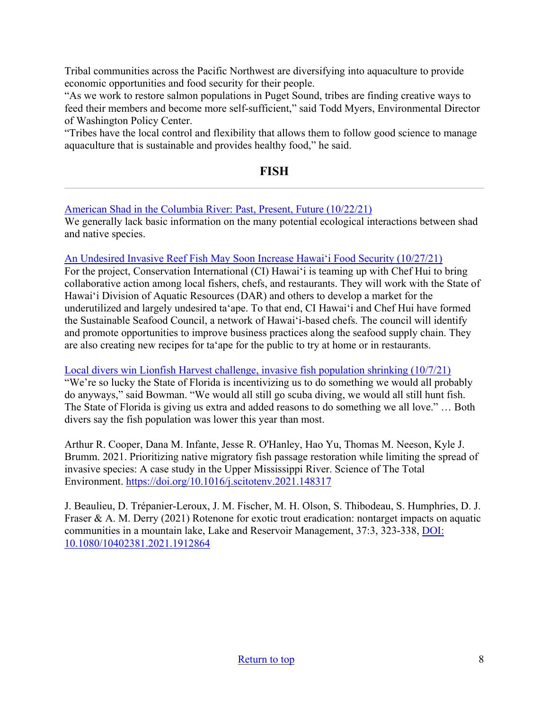Tribal communities across the Pacific Northwest are diversifying into aquaculture to provide economic opportunities and food security for their people.

"As we work to restore salmon populations in Puget Sound, tribes are finding creative ways to feed their members and become more self-sufficient," said Todd Myers, Environmental Director of Washington Policy Center.

<span id="page-7-0"></span>"Tribes have the local control and flexibility that allows them to follow good science to manage aquaculture that is sustainable and provides healthy food," he said.

## **FISH**

[American Shad in the Columbia River: Past, Present, Future \(10/22/21\)](https://www.nwcouncil.org/reports/american-shad-columbia-river-past-present-future)  We generally lack basic information on the many potential ecological interactions between shad and native species.

### [An Undesired Invasive Reef Fish May Soon Increase Hawaiʻi Food Security \(10/27/21\)](https://www.fisheries.noaa.gov/feature-story/undesired-invasive-reef-fish-may-soon-increase-hawaii-food-security?utm_medium=email&utm_source=govdelivery)

For the project, Conservation International (CI) Hawai'i is teaming up with Chef Hui to bring collaborative action among local fishers, chefs, and restaurants. They will work with the State of Hawaiʻi Division of Aquatic Resources (DAR) and others to develop a market for the underutilized and largely undesired taʻape. To that end, CI Hawaiʻi and Chef Hui have formed the Sustainable Seafood Council, a network of Hawaiʻi-based chefs. The council will identify and promote opportunities to improve business practices along the seafood supply chain. They are also creating new recipes for taʻape for the public to try at home or in restaurants.

[Local divers win Lionfish Harvest challenge, invasive fish population shrinking \(10/7/21\)](https://www.wkrg.com/northwest-florida/local-divers-win-lionfish-harvest-challenge-invasive-fish-population-shrinking/) "We're so lucky the State of Florida is incentivizing us to do something we would all probably do anyways," said Bowman. "We would all still go scuba diving, we would all still hunt fish. The State of Florida is giving us extra and added reasons to do something we all love." … Both divers say the fish population was lower this year than most.

Arthur R. Cooper, Dana M. Infante, Jesse R. O'Hanley, Hao Yu, Thomas M. Neeson, Kyle J. Brumm. 2021. Prioritizing native migratory fish passage restoration while limiting the spread of invasive species: A case study in the Upper Mississippi River. Science of The Total Environment.<https://doi.org/10.1016/j.scitotenv.2021.148317>

<span id="page-7-1"></span>J. Beaulieu, D. Trépanier-Leroux, J. M. Fischer, M. H. Olson, S. Thibodeau, S. Humphries, D. J. Fraser & A. M. Derry (2021) Rotenone for exotic trout eradication: nontarget impacts on aquatic communities in a mountain lake, Lake and Reservoir Management, 37:3, 323-338, [DOI:](https://www.tandfonline.com/doi/full/10.1080/10402381.2021.1912864)  [10.1080/10402381.2021.1912864](https://www.tandfonline.com/doi/full/10.1080/10402381.2021.1912864)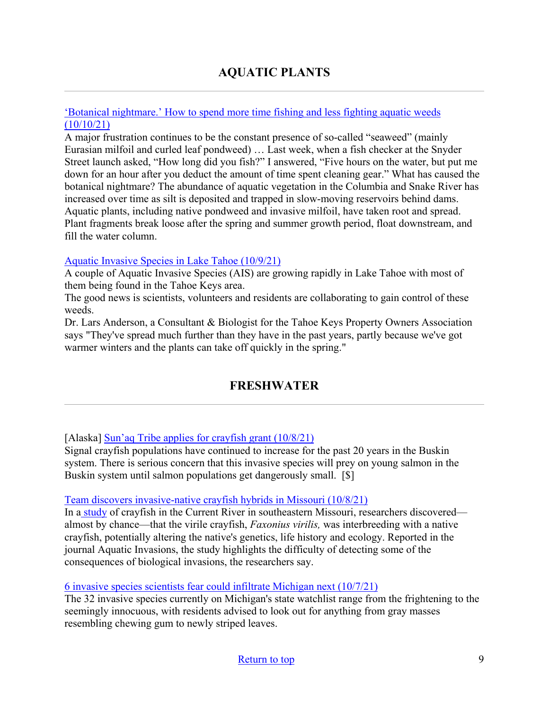# **AQUATIC PLANTS**

#### ['Botanical nightmare.' How to spend more time fishing and less fighting aquatic weeds](https://www.tri-cityherald.com/sports/outdoors/article254875097.html)  [\(10/10/21\)](https://www.tri-cityherald.com/sports/outdoors/article254875097.html)

A major frustration continues to be the constant presence of so-called "seaweed" (mainly Eurasian milfoil and curled leaf pondweed) … Last week, when a fish checker at the Snyder Street launch asked, "How long did you fish?" I answered, "Five hours on the water, but put me down for an hour after you deduct the amount of time spent cleaning gear." What has caused the botanical nightmare? The abundance of aquatic vegetation in the Columbia and Snake River has increased over time as silt is deposited and trapped in slow-moving reservoirs behind dams. Aquatic plants, including native pondweed and invasive milfoil, have taken root and spread. Plant fragments break loose after the spring and summer growth period, float downstream, and fill the water column.

#### [Aquatic Invasive Species in Lake Tahoe \(10/9/21\)](https://www.ktvn.com/story/44927469/aquatic-invasive-species-in-lake-tahoe)

A couple of Aquatic Invasive Species (AIS) are growing rapidly in Lake Tahoe with most of them being found in the Tahoe Keys area.

The good news is scientists, volunteers and residents are collaborating to gain control of these weeds.

Dr. Lars Anderson, a Consultant & Biologist for the Tahoe Keys Property Owners Association says "They've spread much further than they have in the past years, partly because we've got warmer winters and the plants can take off quickly in the spring."

## **FRESHWATER**

<span id="page-8-0"></span>[Alaska] [Sun'aq Tribe applies for crayfish grant \(10/8/21\)](https://www.kodiakdailymirror.com/news/article_fa668938-284e-11ec-85bf-eb23e57c914e.html)

Signal crayfish populations have continued to increase for the past 20 years in the Buskin system. There is serious concern that this invasive species will prey on young salmon in the Buskin system until salmon populations get dangerously small. [\$]

#### [Team discovers invasive-native crayfish hybrids in Missouri \(10/8/21\)](https://phys.org/news/2021-10-team-invasive-native-crayfish-hybrids-missouri.html)

In [a study](https://www.reabic.net/aquaticinvasions/2021/accepted.aspx) of crayfish in the Current River in southeastern Missouri, researchers discovered almost by chance—that the virile crayfish, *Faxonius virilis,* was interbreeding with a native crayfish, potentially altering the native's genetics, life history and ecology. Reported in the journal Aquatic Invasions, the study highlights the difficulty of detecting some of the consequences of biological invasions, the researchers say.

#### [6 invasive species scientists fear could infiltrate Michigan next \(10/7/21\)](https://www.lansingstatejournal.com/story/news/2021/10/07/6-invasive-species-could-infiltrate-michigan-next/5935842001/)

The 32 invasive species currently on Michigan's state watchlist range from the frightening to the seemingly innocuous, with residents advised to look out for anything from gray masses resembling chewing gum to newly striped leaves.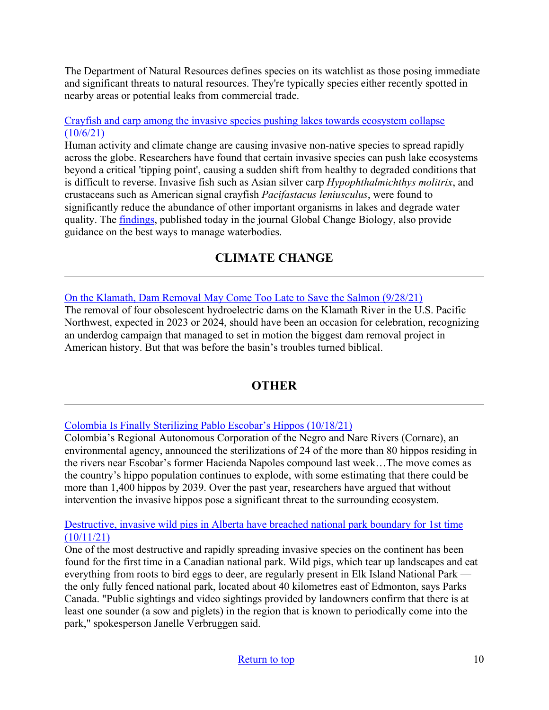The Department of Natural Resources defines species on its watchlist as those posing immediate and significant threats to natural resources. They're typically species either recently spotted in nearby areas or potential leaks from commercial trade.

#### [Crayfish and carp among the invasive species pushing lakes towards ecosystem collapse](https://www.sciencedaily.com/releases/2021/10/211006203601.htm)   $(10/6/21)$

Human activity and climate change are causing invasive non-native species to spread rapidly across the globe. Researchers have found that certain invasive species can push lake ecosystems beyond a critical 'tipping point', causing a sudden shift from healthy to degraded conditions that is difficult to reverse. Invasive fish such as Asian silver carp *Hypophthalmichthys molitrix*, and crustaceans such as American signal crayfish *Pacifastacus leniusculus*, were found to significantly reduce the abundance of other important organisms in lakes and degrade water quality. The [findings,](https://onlinelibrary.wiley.com/doi/10.1111/gcb.15893) published today in the journal Global Change Biology, also provide guidance on the best ways to manage waterbodies.

## **CLIMATE CHANGE**

<span id="page-9-0"></span>[On the Klamath, Dam Removal May Come Too Late to Save the Salmon \(9/28/21\)](https://e360.yale.edu/features/on-the-klamath-dam-removal-may-come-too-late-to-save-the-salmon)

The removal of four obsolescent hydroelectric dams on the Klamath River in the U.S. Pacific Northwest, expected in 2023 or 2024, should have been an occasion for celebration, recognizing an underdog campaign that managed to set in motion the biggest dam removal project in American history. But that was before the basin's troubles turned biblical.

# **OTHER**

## <span id="page-9-1"></span>[Colombia Is Finally Sterilizing Pablo Escobar's Hippos \(10/18/21\)](https://www.vice.com/en/article/3aqxxw/colombia-is-finally-sterilizing-pablo-escobars-hippos)

Colombia's Regional Autonomous Corporation of the Negro and Nare Rivers (Cornare), an environmental agency, announced the sterilizations of 24 of the more than 80 hippos residing in the rivers near Escobar's former Hacienda Napoles compound last week…The move comes as the country's hippo population continues to explode, with some estimating that there could be more than 1,400 hippos by 2039. Over the past year, researchers have argued that without intervention the invasive hippos pose a significant threat to the surrounding ecosystem.

#### [Destructive, invasive wild pigs in Alberta have breached national park boundary for 1st time](https://www.cbc.ca/news/canada/edmonton/alberta-wild-pigs-breached-park-boundary-1.6207379?utm_medium=email&utm_source=govdelivery)  [\(10/11/21\)](https://www.cbc.ca/news/canada/edmonton/alberta-wild-pigs-breached-park-boundary-1.6207379?utm_medium=email&utm_source=govdelivery)

One of the most destructive and rapidly spreading invasive species on the continent has been found for the first time in a Canadian national park. Wild pigs, which tear up landscapes and eat everything from roots to bird eggs to deer, are regularly present in Elk Island National Park the only fully fenced national park, located about 40 kilometres east of Edmonton, says Parks Canada. "Public sightings and video sightings provided by landowners confirm that there is at least one sounder (a sow and piglets) in the region that is known to periodically come into the park," spokesperson Janelle Verbruggen said.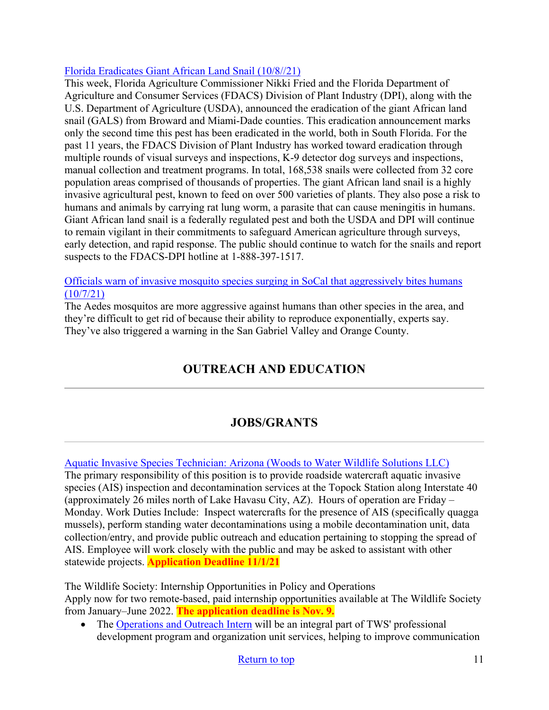#### [Florida Eradicates Giant African Land Snail \(10/8//21\)](https://www.fdacs.gov/News-Events/Press-Releases/2021-Press-Releases/VIDEO-Florida-Eradicates-Giant-African-Land-Snail?utm_source=feedburnerNational+Invasive+Species+Information+Center+-+What%27s+New&utm_medium=email&utm_campaign=Feed%3A+nisic+%28National+Invasive+Species+Information+Center+-+What%27s+New%29)

This week, Florida Agriculture Commissioner Nikki Fried and the Florida Department of Agriculture and Consumer Services (FDACS) Division of Plant Industry (DPI), along with the U.S. Department of Agriculture (USDA), announced the eradication of the giant African land snail (GALS) from Broward and Miami-Dade counties. This eradication announcement marks only the second time this pest has been eradicated in the world, both in South Florida. For the past 11 years, the FDACS Division of Plant Industry has worked toward eradication through multiple rounds of visual surveys and inspections, K-9 detector dog surveys and inspections, manual collection and treatment programs. In total, 168,538 snails were collected from 32 core population areas comprised of thousands of properties. The giant African land snail is a highly invasive agricultural pest, known to feed on over 500 varieties of plants. They also pose a risk to humans and animals by carrying rat lung worm, a parasite that can cause meningitis in humans. Giant African land snail is a federally regulated pest and both the USDA and DPI will continue to remain vigilant in their commitments to safeguard American agriculture through surveys, early detection, and rapid response. The public should continue to watch for the snails and report suspects to the FDACS-DPI hotline at 1-888-397-1517.

[Officials warn of invasive mosquito species surging in SoCal that aggressively bites humans](https://ktla.com/news/local-news/officials-warn-of-invasive-mosquito-species-surging-in-socal-that-aggressively-bites-humans/)   $(10/7/21)$ 

The Aedes mosquitos are more aggressive against humans than other species in the area, and they're difficult to get rid of because their ability to reproduce exponentially, experts say. They've also triggered a warning in the San Gabriel Valley and Orange County.

# **OUTREACH AND EDUCATION**

# **JOBS/GRANTS**

<span id="page-10-0"></span>[Aquatic Invasive Species Technician: Arizona \(Woods to Water Wildlife Solutions LLC\)](https://wfscjobs.tamu.edu/jobs/aquatic-invasive-species-technician-arizona-3/) The primary responsibility of this position is to provide roadside watercraft aquatic invasive species (AIS) inspection and decontamination services at the Topock Station along Interstate 40 (approximately 26 miles north of Lake Havasu City, AZ). Hours of operation are Friday – Monday. Work Duties Include: Inspect watercrafts for the presence of AIS (specifically quagga mussels), perform standing water decontaminations using a mobile decontamination unit, data collection/entry, and provide public outreach and education pertaining to stopping the spread of AIS. Employee will work closely with the public and may be asked to assistant with other statewide projects. **Application Deadline 11/1/21**

The Wildlife Society: Internship Opportunities in Policy and Operations Apply now for two remote-based, paid internship opportunities available at The Wildlife Society from January–June 2022. **The application deadline is Nov. 9.**

• The [Operations and Outreach Intern](https://wildlife.org/wp-content/uploads/2021/10/Operations-and-Outreach-Internship_Spring-2022_FINAL.pdf) will be an integral part of TWS' professional development program and organization unit services, helping to improve communication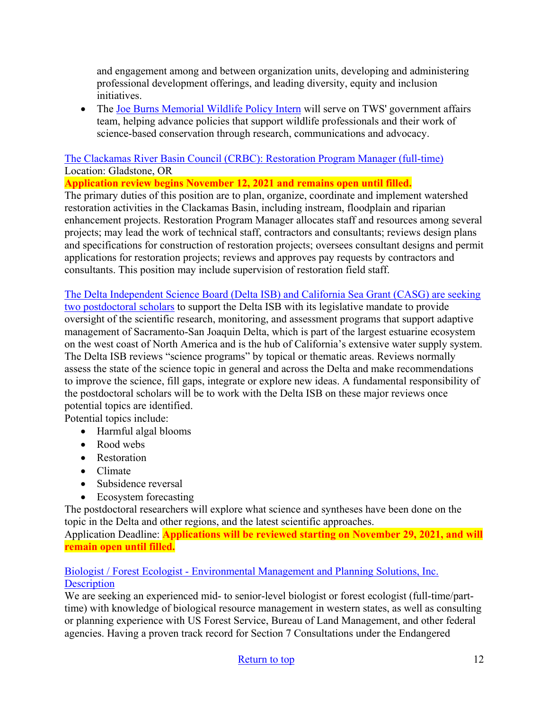and engagement among and between organization units, developing and administering professional development offerings, and leading diversity, equity and inclusion initiatives.

• The [Joe Burns Memorial Wildlife Policy](https://wildlife.org/wp-content/uploads/2021/10/Policy_Internship_Spring-2022_FINAL.pdf) Intern will serve on TWS' government affairs team, helping advance policies that support wildlife professionals and their work of science-based conservation through research, communications and advocacy.

### [The Clackamas River Basin Council \(CRBC\): Restoration Program Manager \(full-time\)](http://clackamasriver.org/contact/jobs/) Location: Gladstone, OR

**Application review begins November 12, 2021 and remains open until filled.** 

The primary duties of this position are to plan, organize, coordinate and implement watershed restoration activities in the Clackamas Basin, including instream, floodplain and riparian enhancement projects. Restoration Program Manager allocates staff and resources among several projects; may lead the work of technical staff, contractors and consultants; reviews design plans and specifications for construction of restoration projects; oversees consultant designs and permit applications for restoration projects; reviews and approves pay requests by contractors and consultants. This position may include supervision of restoration field staff.

[The Delta Independent Science Board \(Delta ISB\) and California Sea Grant \(CASG\) are seeking](https://caseagrant.ucsd.edu/jobs/delta-independent-science-board-postdoctoral-scholars)  [two postdoctoral scholars](https://caseagrant.ucsd.edu/jobs/delta-independent-science-board-postdoctoral-scholars) to support the Delta ISB with its legislative mandate to provide oversight of the scientific research, monitoring, and assessment programs that support adaptive management of Sacramento-San Joaquin Delta, which is part of the largest estuarine ecosystem on the west coast of North America and is the hub of California's extensive water supply system. The Delta ISB reviews "science programs" by topical or thematic areas. Reviews normally assess the state of the science topic in general and across the Delta and make recommendations to improve the science, fill gaps, integrate or explore new ideas. A fundamental responsibility of the postdoctoral scholars will be to work with the Delta ISB on these major reviews once potential topics are identified.

Potential topics include:

- Harmful algal blooms
- Rood webs
- Restoration
- Climate
- Subsidence reversal
- Ecosystem forecasting

The postdoctoral researchers will explore what science and syntheses have been done on the topic in the Delta and other regions, and the latest scientific approaches.

Application Deadline: **Applications will be reviewed starting on November 29, 2021, and will remain open until filled.**

### [Biologist / Forest Ecologist - Environmental Management and Planning Solutions, Inc.](https://careers.wildlife.org/jobs/view/biologist-forest-ecologist/59213550/)  **[Description](https://careers.wildlife.org/jobs/view/biologist-forest-ecologist/59213550/)**

We are seeking an experienced mid- to senior-level biologist or forest ecologist (full-time/parttime) with knowledge of biological resource management in western states, as well as consulting or planning experience with US Forest Service, Bureau of Land Management, and other federal agencies. Having a proven track record for Section 7 Consultations under the Endangered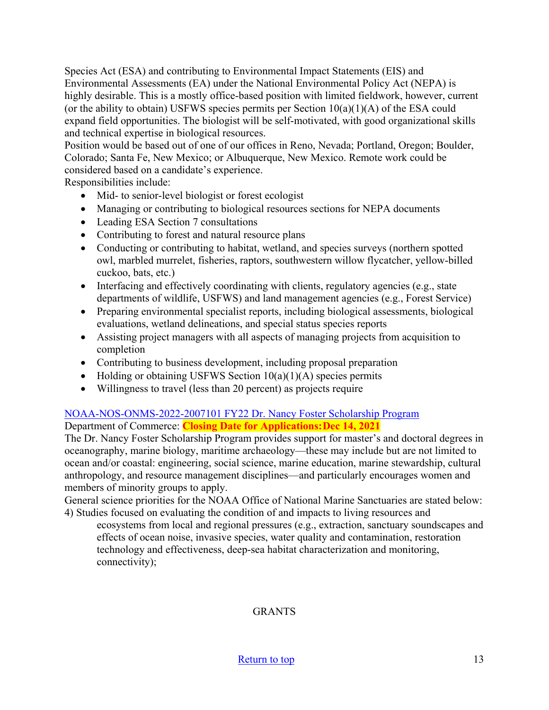Species Act (ESA) and contributing to Environmental Impact Statements (EIS) and Environmental Assessments (EA) under the National Environmental Policy Act (NEPA) is highly desirable. This is a mostly office-based position with limited fieldwork, however, current (or the ability to obtain) USFWS species permits per Section  $10(a)(1)(A)$  of the ESA could expand field opportunities. The biologist will be self-motivated, with good organizational skills and technical expertise in biological resources.

Position would be based out of one of our offices in Reno, Nevada; Portland, Oregon; Boulder, Colorado; Santa Fe, New Mexico; or Albuquerque, New Mexico. Remote work could be considered based on a candidate's experience.

Responsibilities include:

- Mid- to senior-level biologist or forest ecologist
- Managing or contributing to biological resources sections for NEPA documents
- Leading ESA Section 7 consultations
- Contributing to forest and natural resource plans
- Conducting or contributing to habitat, wetland, and species surveys (northern spotted owl, marbled murrelet, fisheries, raptors, southwestern willow flycatcher, yellow-billed cuckoo, bats, etc.)
- Interfacing and effectively coordinating with clients, regulatory agencies (e.g., state departments of wildlife, USFWS) and land management agencies (e.g., Forest Service)
- Preparing environmental specialist reports, including biological assessments, biological evaluations, wetland delineations, and special status species reports
- Assisting project managers with all aspects of managing projects from acquisition to completion
- Contributing to business development, including proposal preparation
- Holding or obtaining USFWS Section  $10(a)(1)(A)$  species permits
- Willingness to travel (less than 20 percent) as projects require

#### [NOAA-NOS-ONMS-2022-2007101 FY22 Dr. Nancy Foster Scholarship Program](https://www.grants.gov/web/grants/view-opportunity.html?oppId=336194) Department of Commerce: **Closing Date for Applications:Dec 14, 2021**

The Dr. Nancy Foster Scholarship Program provides support for master's and doctoral degrees in oceanography, marine biology, maritime archaeology—these may include but are not limited to ocean and/or coastal: engineering, social science, marine education, marine stewardship, cultural anthropology, and resource management disciplines—and particularly encourages women and members of minority groups to apply.

General science priorities for the NOAA Office of National Marine Sanctuaries are stated below: 4) Studies focused on evaluating the condition of and impacts to living resources and

ecosystems from local and regional pressures (e.g., extraction, sanctuary soundscapes and effects of ocean noise, invasive species, water quality and contamination, restoration technology and effectiveness, deep-sea habitat characterization and monitoring, connectivity);

#### GRANTS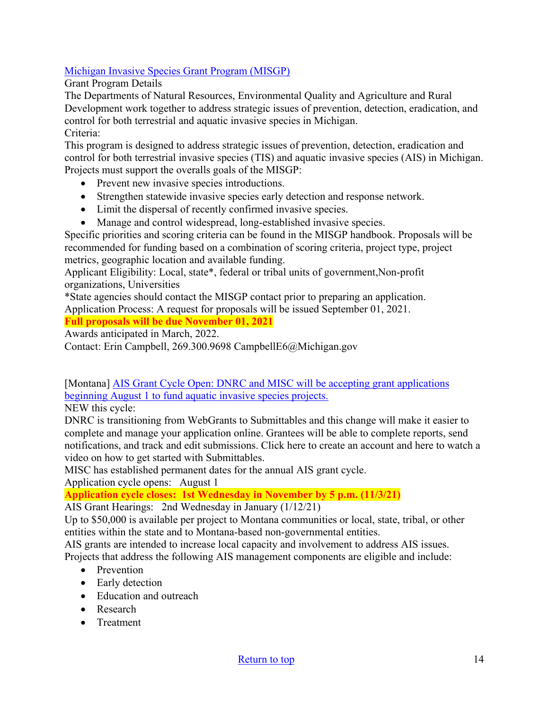## [Michigan Invasive Species Grant Program \(MISGP\)](https://www.michigan.gov/invasives/0,5664,7-324-71276_92000---,00.html)

Grant Program Details

The Departments of Natural Resources, Environmental Quality and Agriculture and Rural Development work together to address strategic issues of prevention, detection, eradication, and control for both terrestrial and aquatic invasive species in Michigan. Criteria:

This program is designed to address strategic issues of prevention, detection, eradication and control for both terrestrial invasive species (TIS) and aquatic invasive species (AIS) in Michigan. Projects must support the overalls goals of the MISGP:

- Prevent new invasive species introductions.
- Strengthen statewide invasive species early detection and response network.
- Limit the dispersal of recently confirmed invasive species.
- Manage and control widespread, long-established invasive species.

Specific priorities and scoring criteria can be found in the MISGP handbook. Proposals will be recommended for funding based on a combination of scoring criteria, project type, project metrics, geographic location and available funding.

Applicant Eligibility: Local, state\*, federal or tribal units of government,Non-profit organizations, Universities

\*State agencies should contact the MISGP contact prior to preparing an application.

Application Process: A request for proposals will be issued September 01, 2021.

**Full proposals will be due November 01, 2021** 

Awards anticipated in March, 2022.

Contact: Erin Campbell, 269.300.9698 CampbellE6@Michigan.gov

[Montana] AIS Grant Cycle Open: DNRC and MISC will be accepting grant applications beginning August 1 to fund aquatic invasive species projects.

NEW this cycle:

DNRC is transitioning from WebGrants to Submittables and this change will make it easier to complete and manage your application online. Grantees will be able to complete reports, send notifications, and track and edit submissions. Click here to create an account and here to watch a video on how to get started with Submittables.

MISC has established permanent dates for the annual AIS grant cycle.

Application cycle opens: August 1

**Application cycle closes: 1st Wednesday in November by 5 p.m. (11/3/21)** 

AIS Grant Hearings: 2nd Wednesday in January (1/12/21)

Up to \$50,000 is available per project to Montana communities or local, state, tribal, or other entities within the state and to Montana-based non-governmental entities.

AIS grants are intended to increase local capacity and involvement to address AIS issues.

Projects that address the following AIS management components are eligible and include:

- Prevention
- Early detection
- Education and outreach
- Research
- Treatment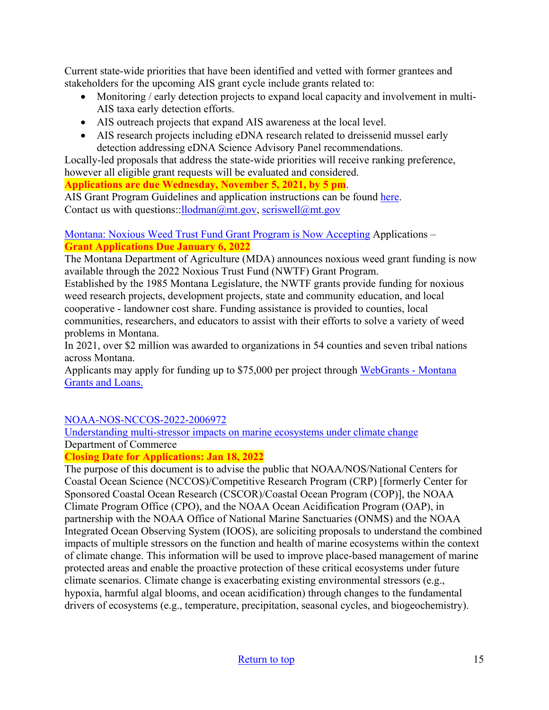Current state-wide priorities that have been identified and vetted with former grantees and stakeholders for the upcoming AIS grant cycle include grants related to:

- Monitoring / early detection projects to expand local capacity and involvement in multi-AIS taxa early detection efforts.
- AIS outreach projects that expand AIS awareness at the local level.
- AIS research projects including eDNA research related to dreissenid mussel early detection addressing eDNA Science Advisory Panel recommendations.

Locally-led proposals that address the state-wide priorities will receive ranking preference, however all eligible grant requests will be evaluated and considered.

**Applications are due Wednesday, November 5, 2021, by 5 pm**.

AIS Grant Program Guidelines and application instructions can be found [here.](https://invasivespecies.mt.gov/montana-invasive-species/Aquatic-Invasive-Species-Grant-Program) Contact us with questions:: $l$ lodman $@$ mt.gov, scriswell $@$ mt.gov

[Montana: Noxious Weed Trust Fund Grant Program is Now Accepting](https://agr.mt.gov/NoxiousWeedTrustFund) Applications – **Grant Applications Due January 6, 2022** 

The Montana Department of Agriculture (MDA) announces noxious weed grant funding is now available through the 2022 Noxious Trust Fund (NWTF) Grant Program.

Established by the 1985 Montana Legislature, the NWTF grants provide funding for noxious weed research projects, development projects, state and community education, and local cooperative - landowner cost share. Funding assistance is provided to counties, local communities, researchers, and educators to assist with their efforts to solve a variety of weed problems in Montana.

In 2021, over \$2 million was awarded to organizations in 54 counties and seven tribal nations across Montana.

Applicants may apply for funding up to \$75,000 per project through [WebGrants - Montana](https://agr.mt.gov/NoxiousWeedTrustFund)  [Grants and Loans.](https://agr.mt.gov/NoxiousWeedTrustFund) 

#### [NOAA-NOS-NCCOS-2022-2006972](https://www.grants.gov/web/grants/view-opportunity.html?oppId=334906)

[Understanding multi-stressor impacts on marine ecosystems under climate change](https://www.grants.gov/web/grants/view-opportunity.html?oppId=334906) Department of Commerce

#### **Closing Date for Applications: Jan 18, 2022**

The purpose of this document is to advise the public that NOAA/NOS/National Centers for Coastal Ocean Science (NCCOS)/Competitive Research Program (CRP) [formerly Center for Sponsored Coastal Ocean Research (CSCOR)/Coastal Ocean Program (COP)], the NOAA Climate Program Office (CPO), and the NOAA Ocean Acidification Program (OAP), in partnership with the NOAA Office of National Marine Sanctuaries (ONMS) and the NOAA Integrated Ocean Observing System (IOOS), are soliciting proposals to understand the combined impacts of multiple stressors on the function and health of marine ecosystems within the context of climate change. This information will be used to improve place-based management of marine protected areas and enable the proactive protection of these critical ecosystems under future climate scenarios. Climate change is exacerbating existing environmental stressors (e.g., hypoxia, harmful algal blooms, and ocean acidification) through changes to the fundamental drivers of ecosystems (e.g., temperature, precipitation, seasonal cycles, and biogeochemistry).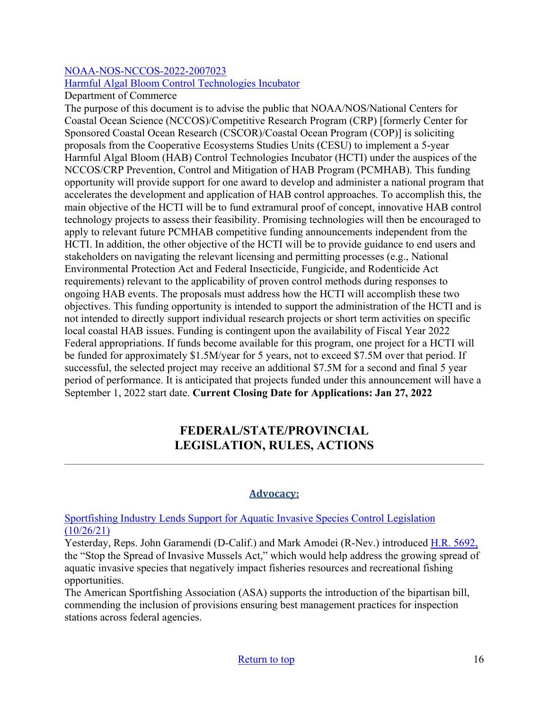#### [NOAA-NOS-NCCOS-2022-2007023](https://www.grants.gov/web/grants/view-opportunity.html?oppId=335726)

#### [Harmful Algal Bloom Control Technologies Incubator](https://www.grants.gov/web/grants/view-opportunity.html?oppId=335726)

Department of Commerce

The purpose of this document is to advise the public that NOAA/NOS/National Centers for Coastal Ocean Science (NCCOS)/Competitive Research Program (CRP) [formerly Center for Sponsored Coastal Ocean Research (CSCOR)/Coastal Ocean Program (COP)] is soliciting proposals from the Cooperative Ecosystems Studies Units (CESU) to implement a 5-year Harmful Algal Bloom (HAB) Control Technologies Incubator (HCTI) under the auspices of the NCCOS/CRP Prevention, Control and Mitigation of HAB Program (PCMHAB). This funding opportunity will provide support for one award to develop and administer a national program that accelerates the development and application of HAB control approaches. To accomplish this, the main objective of the HCTI will be to fund extramural proof of concept, innovative HAB control technology projects to assess their feasibility. Promising technologies will then be encouraged to apply to relevant future PCMHAB competitive funding announcements independent from the HCTI. In addition, the other objective of the HCTI will be to provide guidance to end users and stakeholders on navigating the relevant licensing and permitting processes (e.g., National Environmental Protection Act and Federal Insecticide, Fungicide, and Rodenticide Act requirements) relevant to the applicability of proven control methods during responses to ongoing HAB events. The proposals must address how the HCTI will accomplish these two objectives. This funding opportunity is intended to support the administration of the HCTI and is not intended to directly support individual research projects or short term activities on specific local coastal HAB issues. Funding is contingent upon the availability of Fiscal Year 2022 Federal appropriations. If funds become available for this program, one project for a HCTI will be funded for approximately \$1.5M/year for 5 years, not to exceed \$7.5M over that period. If successful, the selected project may receive an additional \$7.5M for a second and final 5 year period of performance. It is anticipated that projects funded under this announcement will have a September 1, 2022 start date. **Current Closing Date for Applications: Jan 27, 2022** 

## **FEDERAL/STATE/PROVINCIAL LEGISLATION, RULES, ACTIONS**

## **Advocacy:**

<span id="page-15-0"></span>[Sportfishing Industry Lends Support for Aquatic Invasive Species Control Legislation](https://www.bassresource.com/bass_fishing_123/invasive-species-102621.html?utm_source=IMC+Dreissenid+Digest&utm_campaign=830331b276-Weekly_Dreissenid_Digest_4_13_2018_COPY_01&utm_medium=email&utm_term=0_68bd7ec89f-830331b276-128742361)   $(10/26/21)$ 

Yesterday, Reps. John Garamendi (D-Calif.) and Mark Amodei (R-Nev.) introduced [H.R. 5692,](https://www.congress.gov/bill/117th-congress/house-bill/5692?q=%7B%22search%22%3A%5B%22H.R.5692%22%2C%22H.R.5692%22%5D%7D&s=2&r=1) the "Stop the Spread of Invasive Mussels Act," which would help address the growing spread of aquatic invasive species that negatively impact fisheries resources and recreational fishing opportunities.

The American Sportfishing Association (ASA) supports the introduction of the bipartisan bill, commending the inclusion of provisions ensuring best management practices for inspection stations across federal agencies.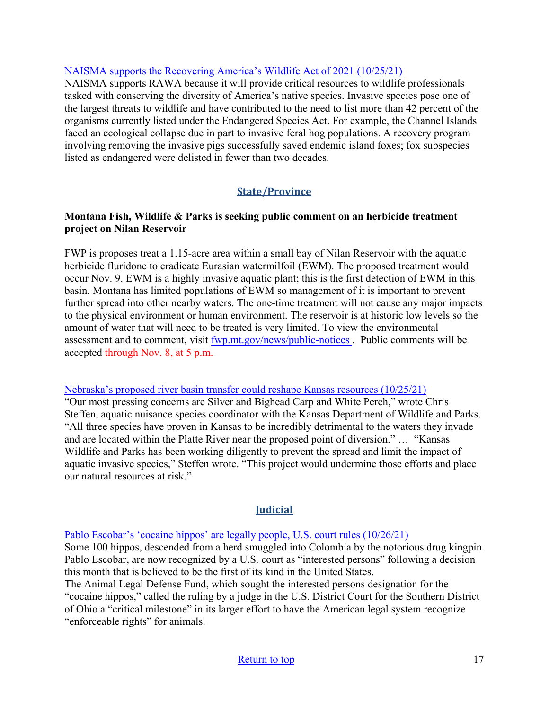#### [NAISMA supports the Recovering America's Wildlife Act of 2021 \(10/25/21\)](https://naisma.org/2021/10/25/naisma-supports-the-recovering-americas-wildlife-act-of-2021/)

NAISMA supports RAWA because it will provide critical resources to wildlife professionals tasked with conserving the diversity of America's native species. Invasive species pose one of the largest threats to wildlife and have contributed to the need to list more than 42 percent of the organisms currently listed under the Endangered Species Act. For example, the Channel Islands faced an ecological collapse due in part to invasive feral hog populations. A recovery program involving removing the invasive pigs successfully saved endemic island foxes; fox subspecies listed as endangered were delisted in fewer than two decades.

## **State/Province**

#### **Montana Fish, Wildlife & Parks is seeking public comment on an herbicide treatment project on Nilan Reservoir**

FWP is proposes treat a 1.15-acre area within a small bay of Nilan Reservoir with the aquatic herbicide fluridone to eradicate Eurasian watermilfoil (EWM). The proposed treatment would occur Nov. 9. EWM is a highly invasive aquatic plant; this is the first detection of EWM in this basin. Montana has limited populations of EWM so management of it is important to prevent further spread into other nearby waters. The one-time treatment will not cause any major impacts to the physical environment or human environment. The reservoir is at historic low levels so the amount of water that will need to be treated is very limited. To view the environmental assessment and to comment, visit [fwp.mt.gov/news/public-notices .](https://fwp.mt.gov/news/public-notices) Public comments will be accepted through Nov. 8, at 5 p.m.

#### [Nebraska's proposed river basin transfer could reshape Kansas resources \(10/25/21\)](https://kansasreflector.com/2021/10/25/nebraskas-proposed-river-basin-transfer-could-reshape-kansas-resources/)

"Our most pressing concerns are Silver and Bighead Carp and White Perch," wrote Chris Steffen, aquatic nuisance species coordinator with the Kansas Department of Wildlife and Parks. "All three species have proven in Kansas to be incredibly detrimental to the waters they invade and are located within the Platte River near the proposed point of diversion." … "Kansas Wildlife and Parks has been working diligently to prevent the spread and limit the impact of aquatic invasive species," Steffen wrote. "This project would undermine those efforts and place our natural resources at risk."

#### **Judicial**

[Pablo Escobar's 'cocaine hippos' are legally people, U.S. court rules \(10/26/21\)](https://www.washingtonpost.com/world/2021/10/26/pablo-escobar-cocaine-hippos-colombia/)

Some 100 hippos, descended from a herd smuggled into Colombia by the notorious drug kingpin Pablo Escobar, are now recognized by a U.S. court as "interested persons" following a decision this month that is believed to be the first of its kind in the United States.

The Animal Legal Defense Fund, which sought the interested persons designation for the "cocaine hippos," called the ruling by a judge in the U.S. District Court for the Southern District of Ohio a "critical milestone" in its larger effort to have the American legal system recognize "enforceable rights" for animals.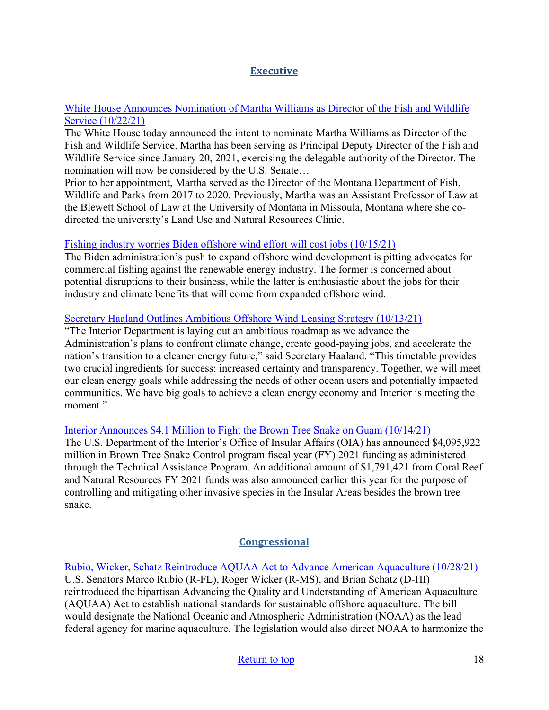## **Executive**

#### [White House Announces Nomination of Martha Williams as Director of the Fish and Wildlife](https://www.doi.gov/pressreleases/white-house-announces-nomination-martha-williams-director-fish-and-wildlife-service)  [Service \(10/22/21\)](https://www.doi.gov/pressreleases/white-house-announces-nomination-martha-williams-director-fish-and-wildlife-service)

The White House today announced the intent to nominate Martha Williams as Director of the Fish and Wildlife Service. Martha has been serving as Principal Deputy Director of the Fish and Wildlife Service since January 20, 2021, exercising the delegable authority of the Director. The nomination will now be considered by the U.S. Senate…

Prior to her appointment, Martha served as the Director of the Montana Department of Fish, Wildlife and Parks from 2017 to 2020. Previously, Martha was an Assistant Professor of Law at the Blewett School of Law at the University of Montana in Missoula, Montana where she codirected the university's Land Use and Natural Resources Clinic.

#### [Fishing industry worries Biden offshore wind effort will cost jobs \(10/15/21\)](https://thehill.com/policy/energy-environment/576859-fishing-industry-worries-administrations-offshore-wind-effort-will)

The Biden administration's push to expand offshore wind development is pitting advocates for commercial fishing against the renewable energy industry. The former is concerned about potential disruptions to their business, while the latter is enthusiastic about the jobs for their industry and climate benefits that will come from expanded offshore wind.

#### [Secretary Haaland Outlines Ambitious Offshore Wind Leasing Strategy \(10/13/21\)](https://www.doi.gov/pressreleases/secretary-haaland-outlines-ambitious-offshore-wind-leasing-strategy)

"The Interior Department is laying out an ambitious roadmap as we advance the Administration's plans to confront climate change, create good-paying jobs, and accelerate the nation's transition to a cleaner energy future," said Secretary Haaland. "This timetable provides two crucial ingredients for success: increased certainty and transparency. Together, we will meet our clean energy goals while addressing the needs of other ocean users and potentially impacted communities. We have big goals to achieve a clean energy economy and Interior is meeting the moment."

#### [Interior Announces \\$4.1 Million to Fight the Brown Tree Snake on Guam \(10/14/21\)](https://www.doi.gov/oia/press/Interior-Announces-%244.1-Million-to-Fight-the-Brown-Tree-Snake-on-Guam?utm_source=feedburnerNational+Invasive+Species+Information+Center+-+What%27s+New&utm_medium=email&utm_campaign=Feed%3A+nisic+%28National+Invasive+Species+Information+Center+-+What%27s+New%29)

The U.S. Department of the Interior's Office of Insular Affairs (OIA) has announced \$4,095,922 million in Brown Tree Snake Control program fiscal year (FY) 2021 funding as administered through the Technical Assistance Program. An additional amount of \$1,791,421 from Coral Reef and Natural Resources FY 2021 funds was also announced earlier this year for the purpose of controlling and mitigating other invasive species in the Insular Areas besides the brown tree snake.

#### **Congressional**

[Rubio, Wicker, Schatz Reintroduce AQUAA Act to Advance American Aquaculture \(10/28/21\)](https://www.rubio.senate.gov/public/index.cfm/press-releases?id=7B8F24CB-9DD2-4F7D-9980-152316861812) U.S. Senators Marco Rubio (R-FL), Roger Wicker (R-MS), and Brian Schatz (D-HI) reintroduced the bipartisan Advancing the Quality and Understanding of American Aquaculture (AQUAA) Act to establish national standards for sustainable offshore aquaculture. The bill would designate the National Oceanic and Atmospheric Administration (NOAA) as the lead federal agency for marine aquaculture. The legislation would also direct NOAA to harmonize the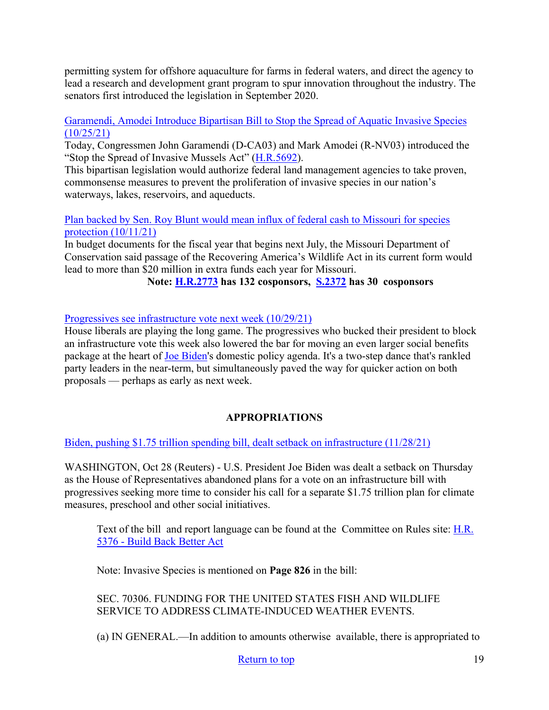permitting system for offshore aquaculture for farms in federal waters, and direct the agency to lead a research and development grant program to spur innovation throughout the industry. The senators first introduced the legislation in September 2020.

#### [Garamendi, Amodei Introduce Bipartisan Bill to Stop the Spread of Aquatic Invasive Species](https://garamendi.house.gov/media/press-releases/garamendi-amodei-introduce-bipartisan-bill-stop-spread-aquatic-invasive-species)   $(10/25/21)$

Today, Congressmen John Garamendi (D-CA03) and Mark Amodei (R-NV03) introduced the "Stop the Spread of Invasive Mussels Act" [\(H.R.5692\)](https://www.congress.gov/bill/117th-congress/house-bill/5692?q=%7B%22search%22%3A%5B%22H.R.5692%22%2C%22H.R.5692%22%5D%7D&s=2&r=1).

This bipartisan legislation would authorize federal land management agencies to take proven, commonsense measures to prevent the proliferation of invasive species in our nation's waterways, lakes, reservoirs, and aqueducts.

#### [Plan backed by Sen. Roy Blunt would mean influx of federal cash to Missouri for species](https://www.stltoday.com/news/local/govt-and-politics/plan-backed-by-sen-roy-blunt-would-mean-influx-of-federal-cash-to-missouri-for/article_a60e0a3a-2a7c-577d-9b2f-be19ba8d48c2.html)  [protection \(10/11/21\)](https://www.stltoday.com/news/local/govt-and-politics/plan-backed-by-sen-roy-blunt-would-mean-influx-of-federal-cash-to-missouri-for/article_a60e0a3a-2a7c-577d-9b2f-be19ba8d48c2.html)

In budget documents for the fiscal year that begins next July, the Missouri Department of Conservation said passage of the Recovering America's Wildlife Act in its current form would lead to more than \$20 million in extra funds each year for Missouri.

## **Note: [H.R.2773](https://www.congress.gov/bill/117th-congress/house-bill/2773) has 132 cosponsors, [S.2372](https://www.congress.gov/bill/117th-congress/senate-bill/2372) has 30 cosponsors**

#### [Progressives see infrastructure vote next week \(10/29/21\)](https://thehill.com/homenews/house/579179-progressives-see-infrastructure-vote-next-week)

House liberals are playing the long game. The progressives who bucked their president to block an infrastructure vote this week also lowered the bar for moving an even larger social benefits package at the heart of [Joe Biden's](https://thehill.com/people/joe-biden) domestic policy agenda. It's a two-step dance that's rankled party leaders in the near-term, but simultaneously paved the way for quicker action on both proposals — perhaps as early as next week.

## **APPROPRIATIONS**

[Biden, pushing \\$1.75 trillion spending bill, dealt setback on infrastructure \(11/28/21\)](https://www.reuters.com/world/us/biden-give-update-democrats-spending-plans-before-europe-trip-source-2021-10-28/)

WASHINGTON, Oct 28 (Reuters) - U.S. President Joe Biden was dealt a setback on Thursday as the House of Representatives abandoned plans for a vote on an infrastructure bill with progressives seeking more time to consider his call for a separate \$1.75 trillion plan for climate measures, preschool and other social initiatives.

Text of the bill and report language can be found at the Committee on Rules site: H.R. [5376 - Build Back Better Act](https://rules.house.gov/bill/117/hr-5376)

Note: Invasive Species is mentioned on **Page 826** in the bill:

SEC. 70306. FUNDING FOR THE UNITED STATES FISH AND WILDLIFE SERVICE TO ADDRESS CLIMATE-INDUCED WEATHER EVENTS.

(a) IN GENERAL.—In addition to amounts otherwise available, there is appropriated to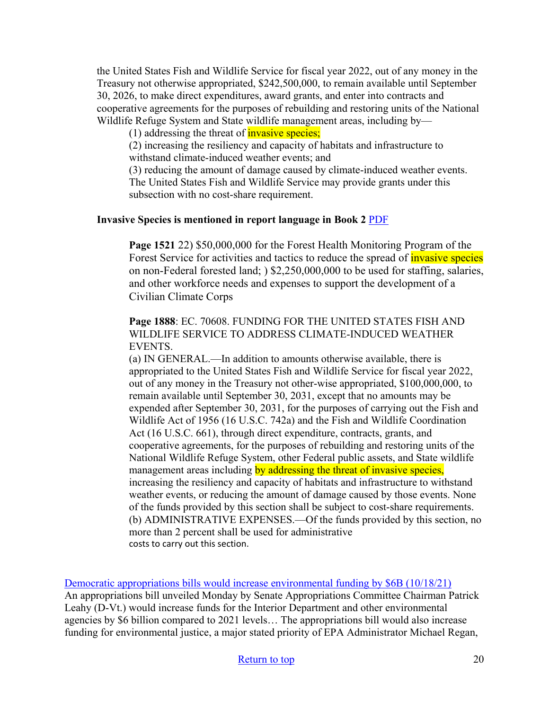the United States Fish and Wildlife Service for fiscal year 2022, out of any money in the Treasury not otherwise appropriated, \$242,500,000, to remain available until September 30, 2026, to make direct expenditures, award grants, and enter into contracts and cooperative agreements for the purposes of rebuilding and restoring units of the National Wildlife Refuge System and State wildlife management areas, including by—

(1) addressing the threat of  $invasive species;$ 

(2) increasing the resiliency and capacity of habitats and infrastructure to withstand climate-induced weather events; and

(3) reducing the amount of damage caused by climate-induced weather events. The United States Fish and Wildlife Service may provide grants under this subsection with no cost-share requirement.

#### **Invasive Species is mentioned in report language in Book 2** [PDF](https://www.govinfo.gov/content/pkg/CRPT-117hrpt130/pdf/CRPT-117hrpt130-pt2.pdf)

**Page 1521** 22) \$50,000,000 for the Forest Health Monitoring Program of the Forest Service for activities and tactics to reduce the spread of *invasive species* on non-Federal forested land; ) \$2,250,000,000 to be used for staffing, salaries, and other workforce needs and expenses to support the development of a Civilian Climate Corps

**Page 1888**: EC. 70608. FUNDING FOR THE UNITED STATES FISH AND WILDLIFE SERVICE TO ADDRESS CLIMATE-INDUCED WEATHER EVENTS.

(a) IN GENERAL.—In addition to amounts otherwise available, there is appropriated to the United States Fish and Wildlife Service for fiscal year 2022, out of any money in the Treasury not other-wise appropriated, \$100,000,000, to remain available until September 30, 2031, except that no amounts may be expended after September 30, 2031, for the purposes of carrying out the Fish and Wildlife Act of 1956 (16 U.S.C. 742a) and the Fish and Wildlife Coordination Act (16 U.S.C. 661), through direct expenditure, contracts, grants, and cooperative agreements, for the purposes of rebuilding and restoring units of the National Wildlife Refuge System, other Federal public assets, and State wildlife management areas including by addressing the threat of invasive species, increasing the resiliency and capacity of habitats and infrastructure to withstand weather events, or reducing the amount of damage caused by those events. None of the funds provided by this section shall be subject to cost-share requirements. (b) ADMINISTRATIVE EXPENSES.—Of the funds provided by this section, no more than 2 percent shall be used for administrative costs to carry out this section.

#### [Democratic appropriations bills would increase environmental funding by \\$6B \(10/18/21\)](https://thehill.com/policy/energy-environment/577254-democratic-appropriations-bills-would-increase-environmental)

An appropriations bill unveiled Monday by Senate Appropriations Committee Chairman Patrick Leahy (D-Vt.) would increase funds for the Interior Department and other environmental agencies by \$6 billion compared to 2021 levels… The appropriations bill would also increase funding for environmental justice, a major stated priority of EPA Administrator Michael Regan,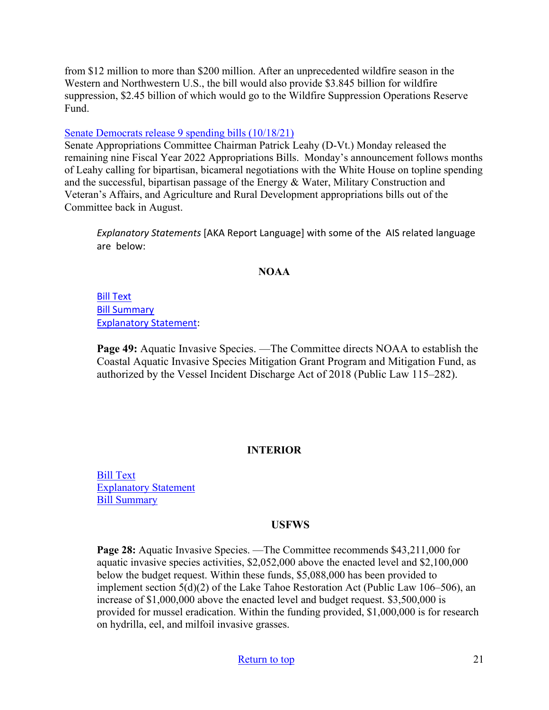from \$12 million to more than \$200 million. After an unprecedented wildfire season in the Western and Northwestern U.S., the bill would also provide \$3.845 billion for wildfire suppression, \$2.45 billion of which would go to the Wildfire Suppression Operations Reserve Fund.

#### [Senate Democrats release 9 spending bills \(10/18/21\)](https://www.appropriations.senate.gov/news/majority/chairman-leahy-releases-remaining-nine-senate-appropriations-bills)

Senate Appropriations Committee Chairman Patrick Leahy (D-Vt.) Monday released the remaining nine Fiscal Year 2022 Appropriations Bills. Monday's announcement follows months of Leahy calling for bipartisan, bicameral negotiations with the White House on topline spending and the successful, bipartisan passage of the Energy & Water, Military Construction and Veteran's Affairs, and Agriculture and Rural Development appropriations bills out of the Committee back in August.

*Explanatory Statements* [AKA Report Language] with some of the AIS related language are below:

#### **NOAA**

[Bill Text](https://www.appropriations.senate.gov/download/cjsfy2022_final) [Bill Summary](https://www.appropriations.senate.gov/download/cjs-summary-) [Explanatory Statement:](https://www.appropriations.senate.gov/download/cjsrept_final)

**Page 49:** Aquatic Invasive Species. —The Committee directs NOAA to establish the Coastal Aquatic Invasive Species Mitigation Grant Program and Mitigation Fund, as authorized by the Vessel Incident Discharge Act of 2018 (Public Law 115–282).

#### **INTERIOR**

[Bill Text](https://www.appropriations.senate.gov/download/intfy2022_final) [Explanatory Statement](https://www.appropriations.senate.gov/download/intrept_final) [Bill Summary](https://www.appropriations.senate.gov/download/interior-summary-)

#### **USFWS**

**Page 28:** Aquatic Invasive Species. —The Committee recommends \$43,211,000 for aquatic invasive species activities, \$2,052,000 above the enacted level and \$2,100,000 below the budget request. Within these funds, \$5,088,000 has been provided to implement section  $5(d)(2)$  of the Lake Tahoe Restoration Act (Public Law 106–506), an increase of \$1,000,000 above the enacted level and budget request. \$3,500,000 is provided for mussel eradication. Within the funding provided, \$1,000,000 is for research on hydrilla, eel, and milfoil invasive grasses.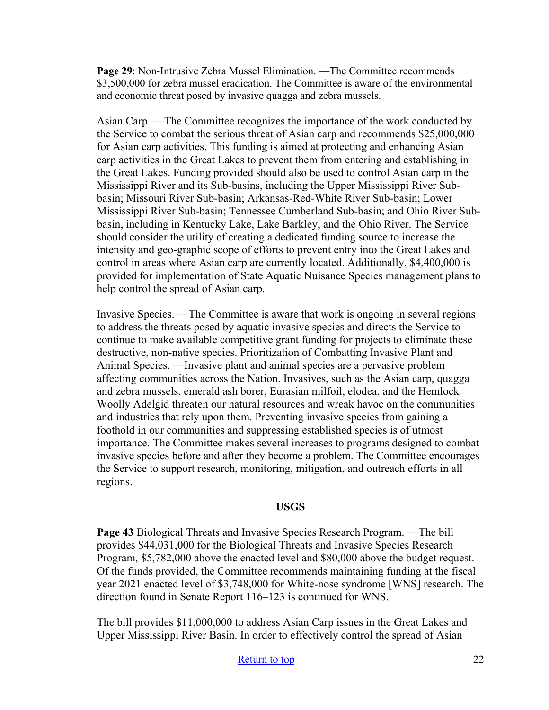**Page 29**: Non-Intrusive Zebra Mussel Elimination. —The Committee recommends \$3,500,000 for zebra mussel eradication. The Committee is aware of the environmental and economic threat posed by invasive quagga and zebra mussels.

Asian Carp. —The Committee recognizes the importance of the work conducted by the Service to combat the serious threat of Asian carp and recommends \$25,000,000 for Asian carp activities. This funding is aimed at protecting and enhancing Asian carp activities in the Great Lakes to prevent them from entering and establishing in the Great Lakes. Funding provided should also be used to control Asian carp in the Mississippi River and its Sub-basins, including the Upper Mississippi River Subbasin; Missouri River Sub-basin; Arkansas-Red-White River Sub-basin; Lower Mississippi River Sub-basin; Tennessee Cumberland Sub-basin; and Ohio River Subbasin, including in Kentucky Lake, Lake Barkley, and the Ohio River. The Service should consider the utility of creating a dedicated funding source to increase the intensity and geo-graphic scope of efforts to prevent entry into the Great Lakes and control in areas where Asian carp are currently located. Additionally, \$4,400,000 is provided for implementation of State Aquatic Nuisance Species management plans to help control the spread of Asian carp.

Invasive Species. —The Committee is aware that work is ongoing in several regions to address the threats posed by aquatic invasive species and directs the Service to continue to make available competitive grant funding for projects to eliminate these destructive, non-native species. Prioritization of Combatting Invasive Plant and Animal Species. —Invasive plant and animal species are a pervasive problem affecting communities across the Nation. Invasives, such as the Asian carp, quagga and zebra mussels, emerald ash borer, Eurasian milfoil, elodea, and the Hemlock Woolly Adelgid threaten our natural resources and wreak havoc on the communities and industries that rely upon them. Preventing invasive species from gaining a foothold in our communities and suppressing established species is of utmost importance. The Committee makes several increases to programs designed to combat invasive species before and after they become a problem. The Committee encourages the Service to support research, monitoring, mitigation, and outreach efforts in all regions.

## **USGS**

**Page 43** Biological Threats and Invasive Species Research Program. —The bill provides \$44,031,000 for the Biological Threats and Invasive Species Research Program, \$5,782,000 above the enacted level and \$80,000 above the budget request. Of the funds provided, the Committee recommends maintaining funding at the fiscal year 2021 enacted level of \$3,748,000 for White-nose syndrome [WNS] research. The direction found in Senate Report 116–123 is continued for WNS.

The bill provides \$11,000,000 to address Asian Carp issues in the Great Lakes and Upper Mississippi River Basin. In order to effectively control the spread of Asian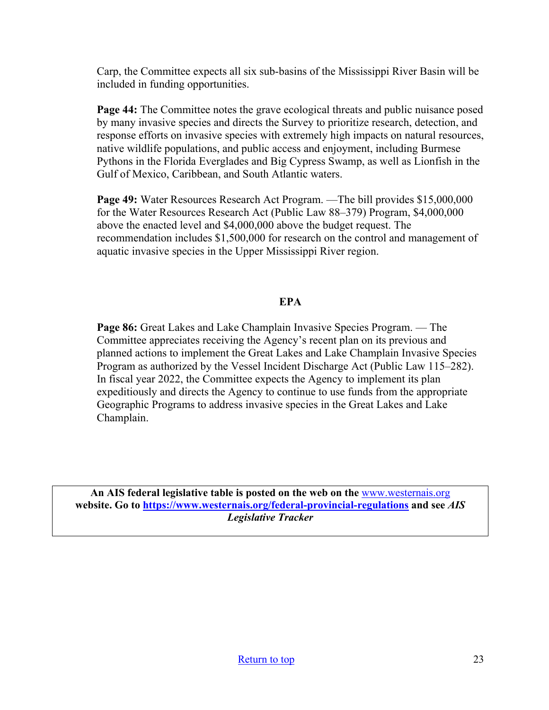Carp, the Committee expects all six sub-basins of the Mississippi River Basin will be included in funding opportunities.

**Page 44:** The Committee notes the grave ecological threats and public nuisance posed by many invasive species and directs the Survey to prioritize research, detection, and response efforts on invasive species with extremely high impacts on natural resources, native wildlife populations, and public access and enjoyment, including Burmese Pythons in the Florida Everglades and Big Cypress Swamp, as well as Lionfish in the Gulf of Mexico, Caribbean, and South Atlantic waters.

**Page 49:** Water Resources Research Act Program. —The bill provides \$15,000,000 for the Water Resources Research Act (Public Law 88–379) Program, \$4,000,000 above the enacted level and \$4,000,000 above the budget request. The recommendation includes \$1,500,000 for research on the control and management of aquatic invasive species in the Upper Mississippi River region.

### **EPA**

**Page 86:** Great Lakes and Lake Champlain Invasive Species Program. — The Committee appreciates receiving the Agency's recent plan on its previous and planned actions to implement the Great Lakes and Lake Champlain Invasive Species Program as authorized by the Vessel Incident Discharge Act (Public Law 115–282). In fiscal year 2022, the Committee expects the Agency to implement its plan expeditiously and directs the Agency to continue to use funds from the appropriate Geographic Programs to address invasive species in the Great Lakes and Lake Champlain.

**An AIS federal legislative table is posted on the web on the** [www.westernais.org](http://www.westernais.org/) **website. Go to<https://www.westernais.org/federal-provincial-regulations> and see** *AIS Legislative Tracker*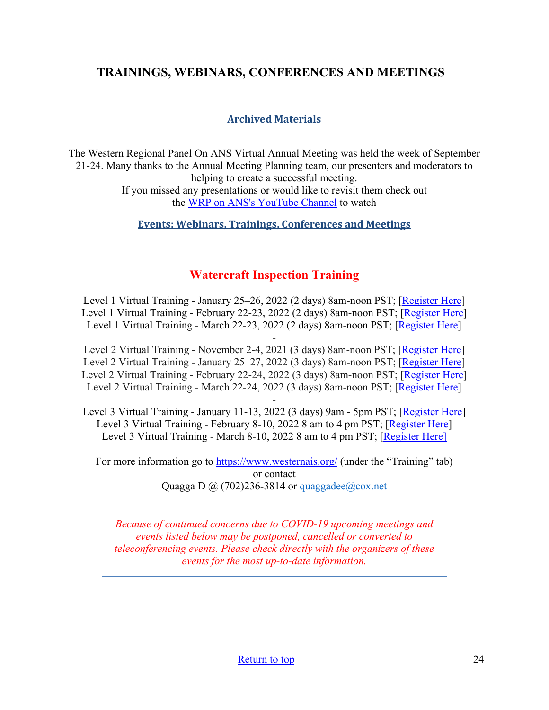## <span id="page-23-0"></span>**TRAININGS, WEBINARS, CONFERENCES AND MEETINGS**

#### **Archived Materials**

The Western Regional Panel On ANS Virtual Annual Meeting was held the week of September 21-24. Many thanks to the Annual Meeting Planning team, our presenters and moderators to helping to create a successful meeting. If you missed any presentations or would like to revisit them check out the [WRP on ANS's YouTube Channel](https://www.youtube.com/channel/UC_cCPHPfa6GtFvVzjoJc2CQ) to watch

**Events: Webinars, Trainings, Conferences and Meetings**

## **Watercraft Inspection Training**

Level 1 Virtual Training - January 25–26, 2022 (2 days) 8am-noon PST; [\[Register Here\]](https://us02web.zoom.us/meeting/register/tZAkfuuqrjMtGdE-3JkpwtYRsat5pIzbttla) Level 1 Virtual Training - February 22-23, 2022 (2 days) 8am-noon PST; [\[Register Here\]](https://us02web.zoom.us/meeting/register/tZYrfuCsqD4qHNE2BOiqfC0RIGgYVmJwGHlD) Level 1 Virtual Training - March 22-23, 2022 (2 days) 8am-noon PST; [\[Register Here\]](https://us02web.zoom.us/meeting/register/tZcpcO-hpz8jGNJ6Weax-__pDobzlIzmahMU)

- Level 2 Virtual Training - November 2-4, 2021 (3 days) 8am-noon PST; [\[Register](https://us02web.zoom.us/meeting/register/tZAlcOuoqTkrG9xGOjP0h3ywaBfCJUv_dXh1) Here] Level 2 Virtual Training - January 25–27, 2022 (3 days) 8am-noon PST; [\[Register Here\]](https://us02web.zoom.us/meeting/register/tZAkfuuqrjMtGdE-3JkpwtYRsat5pIzbttla) Level 2 Virtual Training - February 22-24, 2022 (3 days) 8am-noon PST; [\[Register Here\]](https://us02web.zoom.us/meeting/register/tZYrfuCsqD4qHNE2BOiqfC0RIGgYVmJwGHlD) Level 2 Virtual Training - March 22-24, 2022 (3 days) 8am-noon PST; [\[Register Here\]](https://us02web.zoom.us/meeting/register/tZcpcO-hpz8jGNJ6Weax-__pDobzlIzmahMU)

Level 3 Virtual Training - January 11-13, 2022 (3 days) 9am - 5pm PST; [\[Register Here\]](https://us02web.zoom.us/meeting/register/tZUlceusrz8tEtxpkyyr9PfPy9piCHkIki8K) Level 3 Virtual Training - February 8-10, 2022 8 am to 4 pm PST; [\[Register Here\]](https://us02web.zoom.us/meeting/register/tZYqd-6oqzwiEtW6Wi8APl6yvFnI3kX8wASM) Level 3 Virtual Training - March 8-10, 2022 8 am to 4 pm PST; [\[Register Here\]](https://us02web.zoom.us/meeting/register/tZIqcOCspjgoGNZwELYrMT8J9RJzGDf94Aza)

-

For more information go to<https://www.westernais.org/> (under the "Training" tab) or contact Quagga D @ (702)236-3814 or [quaggadee@cox.net](mailto:quaggadee@cox.net)

*Because of continued concerns due to COVID-19 upcoming meetings and events listed below may be postponed, cancelled or converted to teleconferencing events. Please check directly with the organizers of these events for the most up-to-date information.*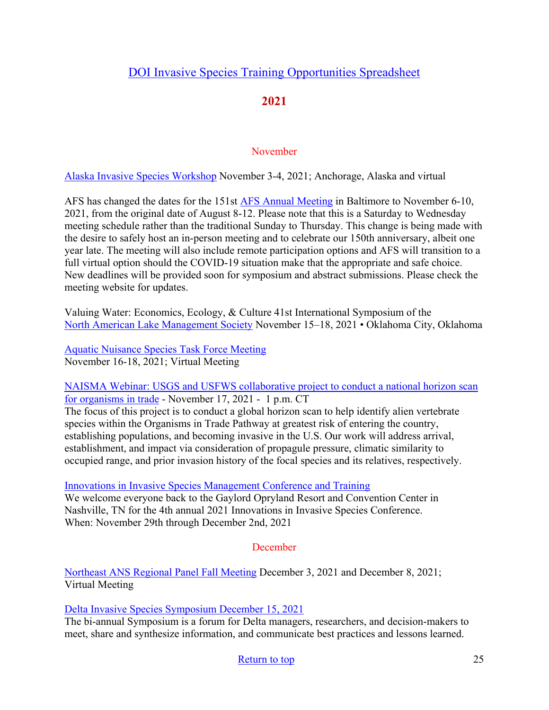## **2021**

### November

[Alaska Invasive Species Workshop](https://uaf.edu/ces/invasives/conference/?utm_medium=email&utm_source=govdelivery) November 3-4, 2021; Anchorage, Alaska and virtual

AFS has changed the dates for the 151st [AFS Annual Meeting](https://fisheries.org/) in Baltimore to November 6-10, 2021, from the original date of August 8-12. Please note that this is a Saturday to Wednesday meeting schedule rather than the traditional Sunday to Thursday. This change is being made with the desire to safely host an in-person meeting and to celebrate our 150th anniversary, albeit one year late. The meeting will also include remote participation options and AFS will transition to a full virtual option should the COVID-19 situation make that the appropriate and safe choice. New deadlines will be provided soon for symposium and abstract submissions. Please check the meeting website for updates.

Valuing Water: Economics, Ecology, & Culture 41st International Symposium of the [North American Lake Management Society](https://www.nalms.org/) November 15–18, 2021 • Oklahoma City, Oklahoma

[Aquatic Nuisance Species Task Force Meeting](https://www.fws.gov/anstaskforce/meetings.php) November 16-18, 2021; Virtual Meeting

[NAISMA Webinar: USGS and USFWS collaborative project to conduct a national horizon scan](https://naisma.org/programs/professional-development/webinars/?utm_medium=email&utm_source=govdelivery)  [for organisms in trade](https://naisma.org/programs/professional-development/webinars/?utm_medium=email&utm_source=govdelivery) - November 17, 2021 - 1 p.m. CT

The focus of this project is to conduct a global horizon scan to help identify alien vertebrate species within the Organisms in Trade Pathway at greatest risk of entering the country, establishing populations, and becoming invasive in the U.S. Our work will address arrival, establishment, and impact via consideration of propagule pressure, climatic similarity to occupied range, and prior invasion history of the focal species and its relatives, respectively.

[Innovations in Invasive Species Management Conference and Training](https://www.invasiveplantcontrol.com/conference21/)

We welcome everyone back to the Gaylord Opryland Resort and Convention Center in Nashville, TN for the 4th annual 2021 Innovations in Invasive Species Conference. When: November 29th through December 2nd, 2021

## **December**

[Northeast ANS Regional Panel Fall Meeting](https://www.northeastans.org/index.php/home/meetings-and-panel-information/?utm_medium=email&utm_source=govdelivery) December 3, 2021 and December 8, 2021; Virtual Meeting

[Delta Invasive Species Symposium December 15, 2021](https://us06web.zoom.us/webinar/register/WN_ySWjLFgPRUuRI-aM8PNQYQ)

The bi-annual Symposium is a forum for Delta managers, researchers, and decision-makers to meet, share and synthesize information, and communicate best practices and lessons learned.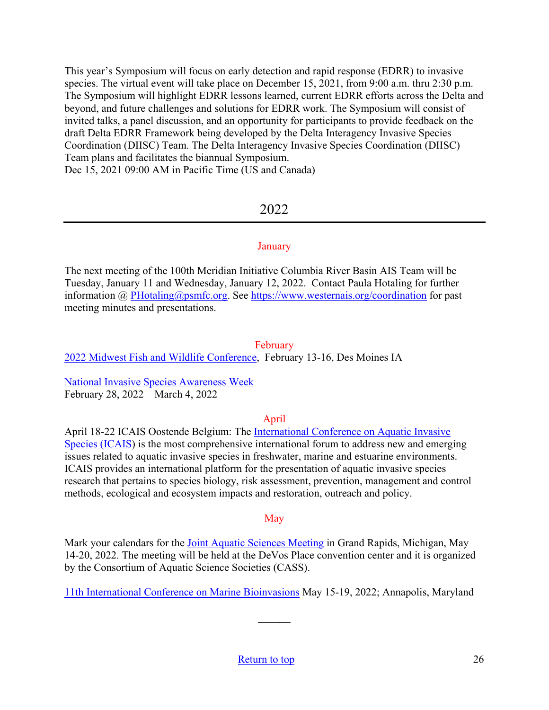This year's Symposium will focus on early detection and rapid response (EDRR) to invasive species. The virtual event will take place on December 15, 2021, from 9:00 a.m. thru 2:30 p.m. The Symposium will highlight EDRR lessons learned, current EDRR efforts across the Delta and beyond, and future challenges and solutions for EDRR work. The Symposium will consist of invited talks, a panel discussion, and an opportunity for participants to provide feedback on the draft Delta EDRR Framework being developed by the Delta Interagency Invasive Species Coordination (DIISC) Team. The Delta Interagency Invasive Species Coordination (DIISC) Team plans and facilitates the biannual Symposium.

Dec 15, 2021 09:00 AM in Pacific Time (US and Canada)

## 2022

#### **January**

The next meeting of the 100th Meridian Initiative Columbia River Basin AIS Team will be Tuesday, January 11 and Wednesday, January 12, 2022.Contact Paula Hotaling for further information @ [PHotaling@psmfc.org.](mailto:PHotaling@psmfc.org) See<https://www.westernais.org/coordination>for past meeting minutes and presentations.

#### February

[2022 Midwest Fish and Wildlife Conference,](http://www.midwestfw.org/html/call-for-symposia.shtml) February 13-16, Des Moines IA

[National Invasive Species Awareness Week](https://www.nisaw.org/?utm_medium=email&utm_source=govdelivery) February 28, 2022 – March 4, 2022

April

April 18-22 ICAIS Oostende Belgium: The [International Conference on Aquatic Invasive](http://www.icais.org/)  [Species \(ICAIS\)](http://www.icais.org/) is the most comprehensive international forum to address new and emerging issues related to aquatic invasive species in freshwater, marine and estuarine environments. ICAIS provides an international platform for the presentation of aquatic invasive species research that pertains to species biology, risk assessment, prevention, management and control methods, ecological and ecosystem impacts and restoration, outreach and policy.

#### May

Mark your calendars for the [Joint Aquatic Sciences Meeting](https://jasm2022.aquaticsocieties.org/) in Grand Rapids, Michigan, May 14-20, 2022. The meeting will be held at the DeVos Place convention center and it is organized by the Consortium of Aquatic Science Societies (CASS).

[11th International Conference on Marine Bioinvasions](https://www.marinebioinvasions.info/?utm_medium=email&utm_source=govdelivery#:%7E:text=The%20Society%20for%20the%20Study,between%2015%2D19%20May%202022.) May 15-19, 2022; Annapolis, Maryland

**\_\_\_\_\_\_**